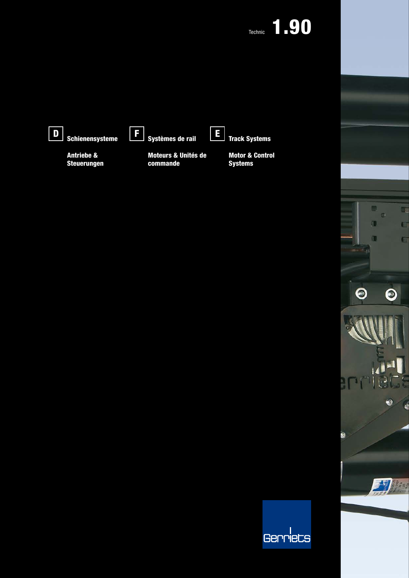1.90 Technic



Steuerungen

Moteurs & Unités de commande

Motor & Control **Systems** 

Track Systems



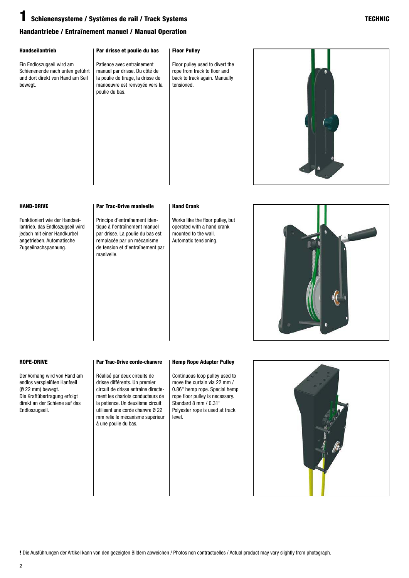# Handantriebe / Entraînement manuel / Manual Operation

poulie du bas.

#### Handseilantrieb

#### Par drisse et poulie du bas

#### Floor Pulley

Ein Endloszugseil wird am Schienenende nach unten geführt und dort direkt von Hand am Seil bewegt.

Patience avec entraînement manuel par drisse. Du côté de la poulie de tirage, la drisse de manoeuvre est renvoyée vers la Floor pulley used to divert the rope from track to floor and back to track again. Manually tensioned.



#### HAND-DRIVE

Funktioniert wie der Handseilantrieb, das Endloszugseil wird jedoch mit einer Handkurbel angetrieben. Automatische Zugseilnachspannung.

#### Par Trac-Drive manivelle

Principe d'entraînement identique à l'entraînement manuel par drisse. La poulie du bas est remplacée par un mécanisme de tension et d'entraînement par manivelle.

Hand Crank

Works like the floor pulley, but operated with a hand crank mounted to the wall. Automatic tensioning.



#### ROPE-DRIVE

Der Vorhang wird von Hand am endlos verspleißten Hanfseil (Ø 22 mm) bewegt. Die Kraftübertragung erfolgt direkt an der Schiene auf das Endloszugseil.

#### Par Trac-Drive corde-chanvre

Réalisé par deux circuits de drisse différents. Un premier circuit de drisse entraîne directement les chariots conducteurs de la patience. Un deuxième circuit utilisant une corde chanvre Ø 22 mm relie le mécanisme supérieur à une poulie du bas.

#### Hemp Rope Adapter Pulley

Continuous loop pulley used to move the curtain via 22 mm / 0.86" hemp rope. Special hemp rope floor pulley is necessary. Standard 8 mm / 0.31" Polyester rope is used at track level.

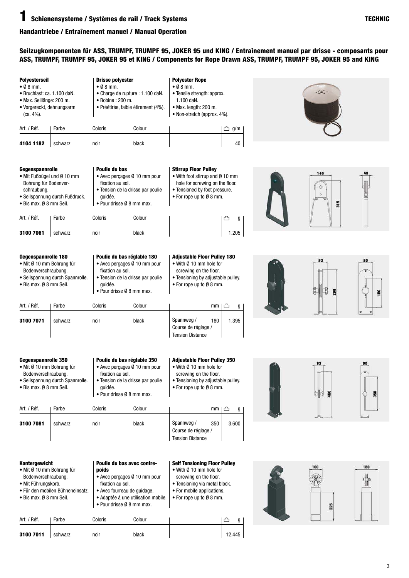### Handantriebe / Entraînement manuel / Manual Operation

### Seilzugkomponenten für ASS, TRUMPF, TRUMPF 95, JOKER 95 und KING / Entraînement manuel par drisse - composants pour ASS, TRUMPF, TRUMPF 95, JOKER 95 et KING / Components for Rope Drawn ASS, TRUMPF, TRUMPF 95, JOKER 95 and KING

| <b>Polyesterseil</b><br>$\bullet$ Ø 8 mm.<br>• Bruchlast: ca. 1.100 daN.<br>• Max. Seillänge: 200 m.<br>• Vorgereckt, dehnungsarm<br>(ca. 4%). |         | <b>Drisse polyester</b><br>$\bullet$ Ø 8 mm.<br>• Charge de rupture : 1.100 daN.<br>$\bullet$ Bobine: 200 m. | • Préétirée, faible étirement (4%). | <b>Polyester Rope</b><br>$\bullet$ Ø 8 mm.<br>• Tensile strength: approx.<br>1.100 daN.<br>$\bullet$ Max. length: 200 m.<br>• Non-stretch (approx. 4%). |     |
|------------------------------------------------------------------------------------------------------------------------------------------------|---------|--------------------------------------------------------------------------------------------------------------|-------------------------------------|---------------------------------------------------------------------------------------------------------------------------------------------------------|-----|
| Art. / Réf.                                                                                                                                    | Farbe   | Coloris                                                                                                      | Colour                              |                                                                                                                                                         | q/m |
| 4104 1182                                                                                                                                      | schwarz | noir                                                                                                         | black                               |                                                                                                                                                         | 40  |





ĝ ₿ 280 180







| Gegenspannrolle |
|-----------------|
|                 |

| Poulie du bas<br>• Avec percages $\emptyset$ 10 mm pour<br>fixation au sol.<br>• Tension de la drisse par poulie<br>auidée. | <b>Stirrup Floor Pulley</b><br>• With foot stirrup and $\emptyset$ 10 mm<br>hole for screwing on the floor.<br>• Tensioned by foot pressure.<br>$\bullet$ For rope up to $\emptyset$ 8 mm. |
|-----------------------------------------------------------------------------------------------------------------------------|--------------------------------------------------------------------------------------------------------------------------------------------------------------------------------------------|
| • Pour drisse Ø 8 mm max.                                                                                                   |                                                                                                                                                                                            |
|                                                                                                                             |                                                                                                                                                                                            |

| Art. / Réf. | Farbe   | Coloris | Colour | ᅩ<br>α |
|-------------|---------|---------|--------|--------|
| 3100 7061   | schwarz | noir    | black  | 1.205  |

| Gegenspannrolle 180 |  |
|---------------------|--|

| Gegenspannrolle 180<br>• Mit Ø 10 mm Bohrung für<br>Bodenverschraubung.<br>• Seilspannung durch Spannrolle.<br>• Bis max. Ø 8 mm Seil. |       | Poulie du bas réglable 180<br>• Avec percages $\emptyset$ 10 mm pour<br>fixation au sol.<br>• Tension de la drisse par poulie<br>quidée.<br>• Pour drisse Ø 8 mm max. |        | <b>Adjustable Floor Pulley 180</b><br>• With Ø 10 mm hole for<br>screwing on the floor.<br>• Tensioning by adjustable pulley.<br>$\bullet$ For rope up to $\emptyset$ 8 mm. |    |   |
|----------------------------------------------------------------------------------------------------------------------------------------|-------|-----------------------------------------------------------------------------------------------------------------------------------------------------------------------|--------|-----------------------------------------------------------------------------------------------------------------------------------------------------------------------------|----|---|
| Art. / Réf.                                                                                                                            | Farbe | Coloris                                                                                                                                                               | Colour |                                                                                                                                                                             | mm | a |

| Gegenspannrolle 350<br>• Mit Ø 10 mm Bohrung für<br>Bodenverschraubung.<br>• Bis max. Ø 8 mm Seil. | • Seilspannung durch Spannrolle. | Poulie du bas réglable 350<br>• Avec percages Ø 10 mm pour<br>fixation au sol.<br>• Tension de la drisse par poulie<br>quidée.<br>• Pour drisse Ø 8 mm max. |        | <b>Adjustable Floor Pulley 350</b><br>• With Ø 10 mm hole for<br>screwing on the floor.<br>• Tensioning by adjustable pulley.<br>$\bullet$ For rope up to $\emptyset$ 8 mm. |  |
|----------------------------------------------------------------------------------------------------|----------------------------------|-------------------------------------------------------------------------------------------------------------------------------------------------------------|--------|-----------------------------------------------------------------------------------------------------------------------------------------------------------------------------|--|
| Art. / Réf.                                                                                        | Farbe                            | Coloris                                                                                                                                                     | Colour | mm<br>g                                                                                                                                                                     |  |
|                                                                                                    |                                  |                                                                                                                                                             |        |                                                                                                                                                                             |  |

**3100 7071** Schwarz noir black  $\begin{array}{|c|c|c|c|}\hline \textbf{3100 7071} & \textbf{380} & \textbf{1.395} \\\hline \end{array}$ 

Course de réglage / Tension Distance

| Spannweg /<br>3100 7081<br>350<br>black<br>schwarz<br>noir<br>Course de réglage /<br><b>Tension Distance</b> | 3.600 |
|--------------------------------------------------------------------------------------------------------------|-------|

| <b>Kontergewicht</b><br>• Mit Ø 10 mm Bohrung für<br>Bodenverschraubung.<br>• Mit Führungskorb.<br>$\bullet$ Bis max. $\emptyset$ 8 mm Seil. | • Für den mobilen Bühneneinsatz. | Poulie du bas avec contre-<br>poids<br>• Avec percages Ø 10 mm pour<br>fixation au sol.<br>• Avec fourreau de quidage.<br>• Adaptée à une utilisation mobile.<br>• Pour drisse Ø 8 mm max. |        | <b>Self Tensioning Floor Pulley</b><br>• With Ø 10 mm hole for<br>screwing on the floor.<br>• Tensioning via metal block.<br>• For mobile applications.<br>$\bullet$ For rope up to $\emptyset$ 8 mm. |        |   |
|----------------------------------------------------------------------------------------------------------------------------------------------|----------------------------------|--------------------------------------------------------------------------------------------------------------------------------------------------------------------------------------------|--------|-------------------------------------------------------------------------------------------------------------------------------------------------------------------------------------------------------|--------|---|
| Art. / Réf.                                                                                                                                  | Farbe                            | Coloris                                                                                                                                                                                    | Colour |                                                                                                                                                                                                       | گا     | g |
| 3100 7011                                                                                                                                    | schwarz                          | noir                                                                                                                                                                                       | black  |                                                                                                                                                                                                       | 12.445 |   |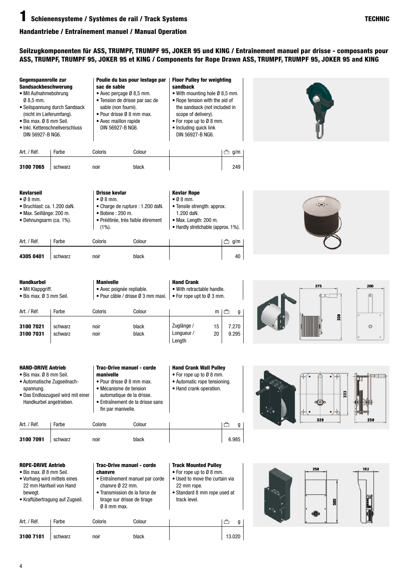# Handantriebe / Entraînement manuel / Manual Operation 1 Schienensysteme / Systèmes de rail / Track Systems

Seilzugkomponenten für ASS, TRUMPF, TRUMPF 95, JOKER 95 und KING / Entraînement manuel par drisse - composants pour ASS, TRUMPF, TRUMPF 95, JOKER 95 et KING / Components for Rope Drawn ASS, TRUMPF, TRUMPF 95, JOKER 95 and KING

| Gegenspannrolle zur<br>Sandsackbeschwerung<br>• Mit Aufnahmebohrung<br>$0.8.5$ mm.<br>(nicht im Lieferumfang).<br>• Bis max. Ø 8 mm Seil.<br>DIN 56927-B NG6. | • Seilspannung durch Sandsack<br>• Inkl. Kettenschnellverschluss | sac de sable<br>sable (non fourni).<br>• Avec maillon rapide | Poulie du bas pour lestage par<br>• Avec percage $\emptyset$ 8,5 mm.<br>• Tension de drisse par sac de<br>• Pour drisse $\emptyset$ 8 mm max.<br>DIN 56927-B NG6. | <b>Floor Pulley for weighting</b><br>sandback<br>• With mounting hole $\emptyset$ 8,5 mm.<br>• Rope tension with the aid of<br>the sandsack (not included in<br>scope of delivery).<br>$\bullet$ For rope up to $\emptyset$ 8 mm.<br>• Including quick link<br>DIN 56927-B NG6. |
|---------------------------------------------------------------------------------------------------------------------------------------------------------------|------------------------------------------------------------------|--------------------------------------------------------------|-------------------------------------------------------------------------------------------------------------------------------------------------------------------|---------------------------------------------------------------------------------------------------------------------------------------------------------------------------------------------------------------------------------------------------------------------------------|
| Art. / Réf.                                                                                                                                                   | Farbe                                                            | Coloris                                                      | Colour                                                                                                                                                            | لہے۔<br>g/m                                                                                                                                                                                                                                                                     |
| 3100 7065                                                                                                                                                     | schwarz                                                          | noir                                                         | black                                                                                                                                                             | 249                                                                                                                                                                                                                                                                             |



**TECHNIC** 

| <b>Kevlarseil</b>                                                                                                                                                                                     |       | Drisse kevlar     |                                                                                                          | <b>Kevlar Rope</b> |        |
|-------------------------------------------------------------------------------------------------------------------------------------------------------------------------------------------------------|-------|-------------------|----------------------------------------------------------------------------------------------------------|--------------------|--------|
| $\bullet$ Ø 8 mm.                                                                                                                                                                                     |       | $\bullet$ Ø 8 mm. |                                                                                                          | $\bullet$ Ø 8 mm.  |        |
| • Charge de rupture : 1.200 daN.<br>• Bruchlast: ca. 1.200 daN.<br>$\bullet$ Bobine: 200 m.<br>• Max. Seillänge: 200 m.<br>• Préétirée, très faible étirement<br>• Dehnungsarm (ca. 1%).<br>$(1\%)$ . |       |                   | • Tensile strength: approx.<br>1.200 daN.<br>• Max. Length: 200 m.<br>• Hardly stretchable (approx. 1%). |                    |        |
| Art. / Réf.                                                                                                                                                                                           | Farbe | Coloris           | Colour                                                                                                   |                    | ∟ै g/m |

**4305 0401** schwarz noir black | 40









| <b>HAND-DRIVE Antrieb</b>       | Trac-Drive manuel - corde                                     |
|---------------------------------|---------------------------------------------------------------|
| $\bullet$ Bis max, Ø 8 mm Seil. | manivelle                                                     |
| • Automatische Zugseilnach-     |                                                               |
| spannung.                       | • Pour drisse $\emptyset$ 8 mm max.<br>• Mécanisme de tension |
|                                 |                                                               |

Manivelle

• Avec poignée repliable. • Pour câble / drisse Ø 3 mm maxi.

Art. / Réf. Farbe Coloris Colour m g

#### | Hand Crank Wall Pulley  $\frac{1}{2}$  to Ø 8 mm.

Hand Crank

Zuglänge / Longueur / Length

• With retractable handle. • For rope upt to Ø 3 mm.

| nvelle                        | $\blacktriangleright$ For rope up to 0 8 mm. |
|-------------------------------|----------------------------------------------|
| ur drisse Ø 8 mm max.         | Automatic rope tensioning.                   |
| écanisme de tension           | • Hand crank operation.                      |
| tomatique de la drisse.       |                                              |
| traînement de la drisse sans. |                                              |

| • Das Endloszugseil wird mit einer<br>Handkurbel angetrieben. |         | automatique de la drisse.<br>• Entraînement de la drisse sans<br>fin par manivelle. |        |       |  |
|---------------------------------------------------------------|---------|-------------------------------------------------------------------------------------|--------|-------|--|
| Art. / Réf.                                                   | Farbe   | Coloris                                                                             | Colour | g     |  |
| 3100 7091                                                     | schwarz | noir                                                                                | black  | 6.985 |  |

| <b>ROPE-DRIVE Antrieb</b><br>$\bullet$ Bis max. $\emptyset$ 8 mm Seil.<br>• Vorhang wird mittels eines<br>22 mm Hanfseil von Hand<br>bewegt.<br>• Kraftübertragung auf Zugseil. |         | Trac-Drive manuel - corde<br>chanvre<br>chanvre $\emptyset$ 22 mm.<br>• Transmission de la force de<br>tirage sur drisse de tirage<br>$\emptyset$ 8 mm max. | • Entraînement manuel par corde | <b>Track Mounted Pulley</b><br>$\bullet$ For rope up to $\emptyset$ 8 mm.<br>• Used to move the curtain via<br>22 mm rope.<br>• Standard 8 mm rope used at<br>track level. |   |   |
|---------------------------------------------------------------------------------------------------------------------------------------------------------------------------------|---------|-------------------------------------------------------------------------------------------------------------------------------------------------------------|---------------------------------|----------------------------------------------------------------------------------------------------------------------------------------------------------------------------|---|---|
| Art. / Réf.                                                                                                                                                                     | Farbe   | Coloris                                                                                                                                                     | Colour                          |                                                                                                                                                                            | ۴ | g |
| 3100 7101                                                                                                                                                                       | schwarz | noir                                                                                                                                                        | black                           |                                                                                                                                                                            |   |   |



Handkurbel • Mit Klappgriff. • Bis max. Ø 3 mm Seil.

3100 7031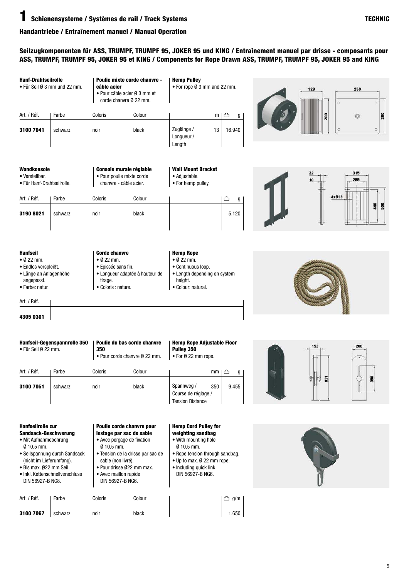250

# Handantriebe / Entraînement manuel / Manual Operation

### Seilzugkomponenten für ASS, TRUMPF, TRUMPF 95, JOKER 95 und KING / Entraînement manuel par drisse - composants pour ASS, TRUMPF, TRUMPF 95, JOKER 95 et KING / Components for Rope Drawn ASS, TRUMPF, TRUMPF 95, JOKER 95 and KING

| <b>Hanf-Drahtseilrolle</b> | $\bullet$ Für Seil Ø 3 mm und 22 mm. | câble acier | Poulie mixte corde chanvre -<br>• Pour câble acier Ø 3 mm et<br>corde chanvre Ø 22 mm. | <b>Hemp Pulley</b><br>$\bullet$ For rope $\emptyset$ 3 mm and 22 mm. |    |        | 129            | $\circ$ |
|----------------------------|--------------------------------------|-------------|----------------------------------------------------------------------------------------|----------------------------------------------------------------------|----|--------|----------------|---------|
| Art. / Réf.                | Farbe                                | Coloris     | Colour                                                                                 |                                                                      | m  | 凸<br>g | $\frac{1}{20}$ |         |
| 3100 7041                  | schwarz                              | noir        | black                                                                                  | Zuglänge /<br>Longueur/<br>Length                                    | 13 | 16.940 |                | $\circ$ |

| Wandkonsole<br>• Verstellbar.<br>• Für Hanf-Drahtseilrolle. |         |         | Console murale réglable<br>· Pour poulie mixte corde<br>chanvre - câble acier. | <b>Wall Mount Bracket</b><br>• Adjustable.<br>• For hemp pulley. |       |  |
|-------------------------------------------------------------|---------|---------|--------------------------------------------------------------------------------|------------------------------------------------------------------|-------|--|
| Art. / Réf.                                                 | Farbe   | Coloris | Colour                                                                         |                                                                  | g     |  |
| 3190 8021                                                   | schwarz | noir    | black                                                                          |                                                                  | 5.120 |  |





#### Hanfseil

#### • Ø 22 mm.

- Endlos verspleißt.
- Länge an Anlagenhöhe
- angepasst.
- Farbe: natur.

• Ø 22 mm. • Epissée sans fin.

Corde chanvre

- Longueur adaptée à hauteur de
- tirage.
- Coloris : nature.

## Hemp Rope

- Ø 22 mm.
- Continuous loop.
- Length depending on system
- height. • Colour: natural.



|  | i |  |
|--|---|--|
|  |   |  |

4305 0301

| Hanfseil-Gegenspannrolle 350<br>$\bullet$ Für Seil Ø 22 mm. |         | 350     | Poulie du bas corde chanvre<br>• Pour corde chanvre $\emptyset$ 22 mm. |                                                              | <b>Hemp Rope Adjustable Floor</b><br>Pulley 350<br>$\bullet$ For Ø 22 mm rope. |       |  |
|-------------------------------------------------------------|---------|---------|------------------------------------------------------------------------|--------------------------------------------------------------|--------------------------------------------------------------------------------|-------|--|
| Art. / Réf.                                                 | Farbe   | Coloris | Colour                                                                 |                                                              | mm                                                                             | g     |  |
| 3100 7051                                                   | schwarz | noir    | black                                                                  | Spannweg /<br>Course de réglage /<br><b>Tension Distance</b> | 350                                                                            | 9.455 |  |



| Hanfseilrolle zur<br>Sandsack-Beschwerung<br>$\bullet$ Mit Aufnahmebohrung<br>$0$ 10.5 mm.<br>(nicht im Lieferumfang).<br>• Bis max. Ø22 mm Seil.<br>DIN 56927-B NG8. | • Seilspannung durch Sandsack<br>$\bullet$ Inkl. Kettenschnellverschluss | $0$ 10.5 mm.<br>sable (non livré).<br>• Avec maillon rapide<br>DIN 56927-B NG6. | Poulie corde chanvre pour<br>lestage par sac de sable<br>• Avec percage de fixation<br>• Tension de la drisse par sac de<br>• Pour drisse Ø22 mm max. | <b>Hemp Cord Pulley for</b><br>weighting sandbag<br>• With mounting hole<br>$0$ 10.5 mm.<br>• Rope tension through sandbag.<br>$\bullet$ Up to max. $\emptyset$ 22 mm rope.<br>• Including quick link<br>DIN 56927-B NG6. |              |
|-----------------------------------------------------------------------------------------------------------------------------------------------------------------------|--------------------------------------------------------------------------|---------------------------------------------------------------------------------|-------------------------------------------------------------------------------------------------------------------------------------------------------|---------------------------------------------------------------------------------------------------------------------------------------------------------------------------------------------------------------------------|--------------|
| Art. / Réf.                                                                                                                                                           | Farbe                                                                    | Coloris                                                                         | Colour                                                                                                                                                |                                                                                                                                                                                                                           | المحم<br>g/m |
| 3100 7067                                                                                                                                                             | schwarz                                                                  | noir                                                                            | black                                                                                                                                                 |                                                                                                                                                                                                                           | 1.650        |

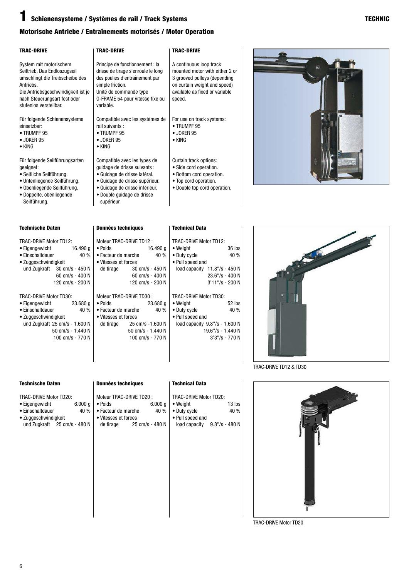| <b>TRAC-DRIVE</b>                                                                                                                                                                                      | <b>TRAC-DRIVE</b>                                                                                                                                                                                            | <b>TRAC-DRIVE</b>                                                                                                                                                     |
|--------------------------------------------------------------------------------------------------------------------------------------------------------------------------------------------------------|--------------------------------------------------------------------------------------------------------------------------------------------------------------------------------------------------------------|-----------------------------------------------------------------------------------------------------------------------------------------------------------------------|
| System mit motorischem<br>Seiltrieb. Das Endloszugseil<br>umschlingt die Treibscheibe des<br>Antriebs.<br>Die Antriebsgeschwindigkeit ist je<br>nach Steuerungsart fest oder<br>stufenlos verstellbar. | Principe de fonctionnement : la<br>drisse de tirage s'enroule le long<br>des poulies d'entraînement par<br>simple friction.<br>Unité de commande type<br>G-FRAME 54 pour vitesse fixe ou<br>variable.        | A continuous loop track<br>mounted motor with either 2 or<br>3 grooved pulleys (depending<br>on curtain weight and speed)<br>available as fixed or variable<br>speed. |
| Für folgende Schienensysteme<br>einsetzbar:<br>$\bullet$ TRUMPF 95<br>$\bullet$ JOKER 95<br>$\bullet$ KING                                                                                             | Compatible avec les systèmes de<br>rail suivants :<br>• TRUMPF 95<br>$\bullet$ JOKER 95<br>$\bullet$ KING                                                                                                    | For use on track systems:<br>• TRUMPF 95<br>$\bullet$ JOKER 95<br>$\bullet$ KING                                                                                      |
| Für folgende Seilführungsarten<br>geeignet:<br>• Seitliche Seilführung.<br>· Untenliegende Seilführung.<br>• Obenliegende Seilführung.<br>· Doppelte, obenliegende<br>Seilführung.                     | Compatible avec les types de<br>quidage de drisse suivants :<br>· Guidage de drisse latéral.<br>· Guidage de drisse supérieur.<br>· Guidage de drisse inférieur.<br>• Double quidage de drisse<br>supérieur. | Curtain track options:<br>• Side cord operation.<br>• Bottom cord operation.<br>• Top cord operation.<br>• Double top cord operation.                                 |
| <b>Technische Daten</b>                                                                                                                                                                                | <b>Données techniques</b>                                                                                                                                                                                    | <b>Technical Data</b>                                                                                                                                                 |
| TRAC-DRIVE Motor TD12:<br>• Eigengewicht<br>16.490 g<br>• Einschaltdauer<br>40 %                                                                                                                       | Moteur TRAC-DRIVE TD12:<br>• Poids<br>16.490q<br>• Facteur de marche<br>40 %                                                                                                                                 | <b>TRAC-DRIVE Motor TD12:</b><br>$\bullet$ Weight<br>36 lbs<br>40 %<br>• Duty cycle                                                                                   |

100 cm/s - 770 N

25 cm/s - 480 N

Données techniques

• Facteur de marche • Vitesses et forces

Moteur TRAC-DRIVE TD20 :

|                      | Moteur TRAC-DRIVE TD12:           | TRAC-DRIVE Motor TD12: |                                        |  |
|----------------------|-----------------------------------|------------------------|----------------------------------------|--|
| • Poids              | 16.490 g                          | $\bullet$ Weight       | 36 lbs                                 |  |
| • Facteur de marche  | 40 %                              | • Duty cycle           | 40 %                                   |  |
| • Vitesses et forces |                                   | • Pull speed and       |                                        |  |
| de tirage            | $30 \text{ cm/s} - 450 \text{ N}$ |                        | load capacity $11.8^{\circ}/s - 450$ N |  |
|                      | 60 cm/s - 400 $N$                 |                        | $23.6$ "/s - 400 N                     |  |
|                      | 120 cm/s - 200 N                  |                        | $3'11''/s - 200 N$                     |  |
|                      | Moteur TRAC-DRIVE TD30:           | TRAC-DRIVE Motor TD30: |                                        |  |
| $\bullet$ Poids      | 23.680q                           | • Weight               | 52 lbs                                 |  |
| • Facteur de marche  | 40%                               | • Duty cycle           | 40 %                                   |  |
| • Vitesses et forces |                                   | • Pull speed and       |                                        |  |
| de tirage            | 25 cm/s -1.600 N                  |                        | load capacity 9.8"/s - 1.600 N         |  |
|                      | 50 cm/s - 1.440 N                 |                        | 19.6"/s - 1.440 N                      |  |

3'3"/s - 770 N

TRAC-DRIVE TD12 & TD30

#### Technische Daten

• Zuggeschwindigkeit

 $\bullet$  Eigengewicht

• Zuggeschwindigkeit

und Zugkraft 30 cm/s - 450 N

TRAC-DRIVE Motor TD30:<br>• Eigengewicht 23.680 g

• Einschaltdauer 40 %

und Zugkraft 25 cm/s - 1.600 N

 60 cm/s - 400 N 120 cm/s - 200 N

 50 cm/s - 1.440 N 100 cm/s - 770 N

- TRAC-DRIVE Motor TD20:
- Eigengewicht 6.000 g<br>• Einschaltdauer 40 %
- $\bullet$  Einschaltdauer
- Zuggeschwindigkeit
- und Zugkraft 25 cm/s 480 N

#### Technical Data

- TRAC-DRIVE Motor TD20:
- Weight 13 lbs<br>• Duty cycle 40 %
- Poids 6.000 g<br>• Facteur de marche 40 %  $\bullet$  Duty cycle
	- Pull speed and
	- load capacity 9.8"/s 480 N



TRAC-DRIVE Motor TD20

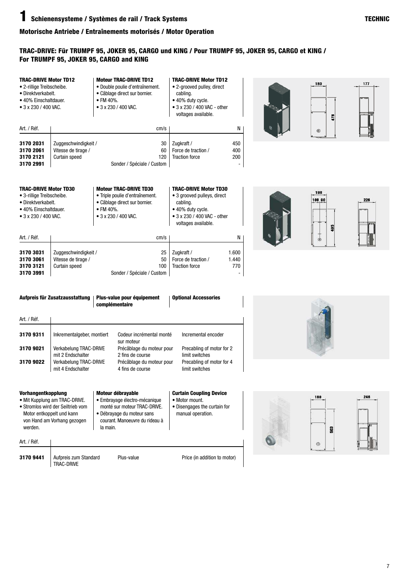### TRAC-DRIVE: Für TRUMPF 95, JOKER 95, CARGO und KING / Pour TRUMPF 95, JOKER 95, CARGO et KING / For TRUMPF 95, JOKER 95, CARGO and KING

#### TRAC-DRIVE Motor TD12 Moteur TRAC-DRIVE TD12 TRAC-DRIVE Motor TD12 180 177 • 2-rillige Treibscheibe. • Double poulie d'entraînement. • 2-grooved pulley, direct • Câblage direct sur bornier. • Direktverkabelt. cabling. • 40% Einschaltdauer. • FM 40%. • 40% duty cycle. • 3 x 230 / 400 VAC. • 3 x 230 / 400 VAC. • 3 x 230 / 400 VAC - other voltages available. E. Art. / Réf. | cm/s | N  $\odot$ **3170 2031** | Zuggeschwindigkeit /  $\begin{array}{c|c} 30 \overline{)20} & 30 \overline{)20} \\ 3170 & 2061 \end{array}$  /  $\begin{array}{c} 450 \overline{)400} \\ 400 \end{array}$  /  $\begin{array}{c} 3170 & 2061 \overline{)400} \\ 50 & 501 \end{array}$ Vitesse de tirage / 60 Force de traction / 60 Force de traction / 60 Force de traction / 3170 2121 Curtain speed 200<br>3170 2991 Sonder / Softale / Custom discussed 200 Sonder / Spéciale / Custom TRAC-DRIVE Motor TD30 Moteur TRAC-DRIVE TD30 TRAC-DRIVE Motor TD30 198 • 3-rillige Treibscheibe. • Triple poulie d'entraînement. • 3 grooved pulleys, direct 108,90 • Direktverkabelt. • Câblage direct sur bornier. cabling. • 40% Einschaltdauer. • FM 40%. • 40% duty cycle. • 3 x 230 / 400 VAC. • 3 x 230 / 400 VAC - other • 3 x 230 / 400 VAC. voltages available. 195  $\overline{\bullet}$ Art. / Réf. | cm/s | N **3170 3031 | Zuggeschwindigkeit / 1.600 | 25 | Zugkraft / 1.600 | 25 | Zugkraft / 1.600 | 25 | Zugkraft / 1.600 3170 3061** Vitesse de tirage / 50 Force de traction / 1.440<br> **3170 3121** Curtain speed 6 770 Curtain speed 3170 3991 | Sonder / Spéciale / Custom Aufpreis für Zusatzausstattung | Plus-value pour équipement Optional Accessories complémentaire Art. / Réf. 3170 9311 | Inkrementalgeber, montiert Codeur incrémental monté Incremental encoder sur moteur 3170 9021 | Verkabelung TRAC-DRIVE Précâblage du moteur pour Precabling of motor for 2 mit 2 Endschalter 2 fins de course limit switches 3170 9022 | Verkabelung TRAC-DRIVE Précâblage du moteur pour Precabling of motor for 4



• Mit Kupplung am TRAC-DRIVE.

mit 4 Endschalter

• Stromlos wird der Seiltrieb vom Motor entkoppelt und kann von Hand am Vorhang gezogen werden.

# Art. / Réf.

3170 9441 Aufpreis zum Standard TRAC-DRIVE

Plus-value Price (in addition to motor)

4 fins de course

Moteur débrayable • Embrayage électro-mécanique monté sur moteur TRAC-DRIVE. • Débrayage du moteur sans courant. Manoeuvre du rideau à

la main.

limit switches

- Curtain Coupling Device • Motor mount.
- Disengages the curtain for
- manual operation.





180

503

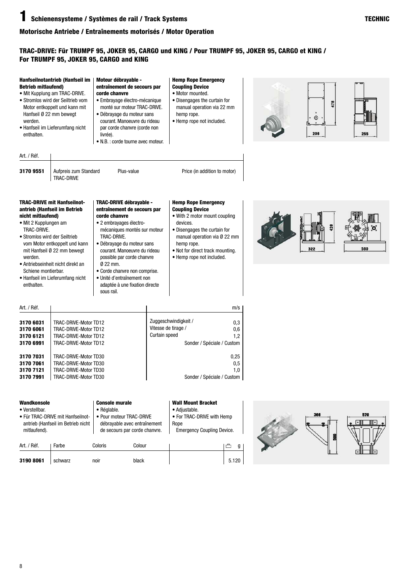# TRAC-DRIVE: Für TRUMPF 95, JOKER 95, CARGO und KING / Pour TRUMPF 95, JOKER 95, CARGO et KING / For TRUMPF 95, JOKER 95, CARGO and KING

#### Hanfseilnotantrieb (Hanfseil im Moteur débrayable - Hemp Rope Emergency Betrieb mitlaufend) entraînement de secours par Coupling Device • Mit Kupplung am TRAC-DRIVE. corde chanvre • Motor mounted. • Stromlos wird der Seiltrieb vom • Embrayage électro-mécanique • Disengages the curtain for P. monté sur moteur TRAC-DRIVE. Motor entkoppelt und kann mit manual operation via 22 mm Hanfseil Ø 22 mm bewegt • Débrayage du moteur sans hemp rope.  $\odot$  werden. courant. Manoeuvre du rideau • Hemp rope not included. • Hanfseil im Lieferumfang nicht par corde chanvre (corde non 206 255 enthalten. livrée). • N.B. : corde tourne avec moteur. Art. / Réf. 3170 9551 | Aufpreis zum Standard Plus-value Price (in addition to motor) TRAC-DRIVE TRAC-DRIVE mit Hanfseilnot-TRAC-DRIVE débrayable - Hemp Rope Emergency antrieb (Hanfseil im Betrieb entraînement de secours par Coupling Device nicht mitlaufend) corde chanvre • With 2 motor mount coupling • Mit 2 Kupplungen am • 2 embrayages électro devices. TRAC-DRIVE. mécaniques montés sur moteur • Disengages the curtain for • Stromlos wird der Seiltrieb TRAC-DRIVE. manual operation via Ø 22 mm vom Motor entkoppelt und kann hemp rope. • Débrayage du moteur sans mit Hanfseil Ø 22 mm bewegt courant. Manoeuvre du rideau • Not for direct track mounting. werden. possible par corde chanvre • Hemp rope not included. • Antriebseinheit nicht direkt an Ø 22 mm. Schiene montierbar. • Corde chanvre non comprise. • Hanfseil im Lieferumfang nicht • Unité d'entraînement non enthalten. adaptée à une fixation directe sous rail. Art. / Réf. m/s Zuggeschwindigkeit / **3170 6031** TRAC-DRIVE-Motor TD12 **10.33** 2uggeschwindigkeit / 0,3 Vitesse de tirage / 3170 6061 TRAC-DRIVE-Motor TD12  $\begin{array}{|l|l|}\n 3170\,6061 & TRAC-DRIVE-Motor TDI2 & \n\end{array}$  Uitesse de tirage / 0,6 Curtain speed 3170 6121 | TRAC-DRIVE-Motor TD12 | Curtain speed<br>
3170 6991 | TRAC-DRIVE-Motor TD12 | Sonder / Spéciale / Custom Sonder / Spéciale / Custom 3170 7031 TRAC-DRIVE-Motor TD30 0,25 **3170 7061** TRAC-DRIVE-Motor TD30 0.5 **3170 7121** TRAC-DRIVE-Motor TD30 1,0 3170 7991 | TRAC-DRIVE-Motor TD30 | Sonder / Spéciale / Custom Wandkonsole Console murale Wall Mount Bracket • Verstellbar. • Réglable. • Adjustable. • Für TRAC-DRIVE mit Hanfseilnot- • For TRAC-DRIVE with Hemp • Pour moteur TRAC-DRIVE

| antrieb (Hanfseil im Betrieb nicht<br>mitlaufend). |         | débrayable avec entraînement<br>de secours par corde chanvre. |        | Rope<br><b>Emergency Coupling Device.</b> |       |
|----------------------------------------------------|---------|---------------------------------------------------------------|--------|-------------------------------------------|-------|
| Art. / Réf.                                        | Farbe   | Coloris                                                       | Colour |                                           | g     |
| 3190 8061                                          | schwarz | noir                                                          | black  |                                           | 5.120 |

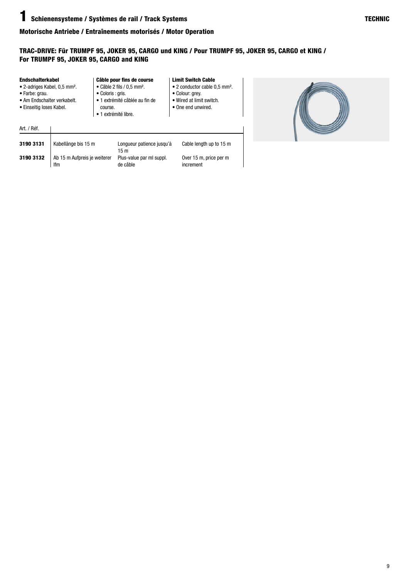#### TRAC-DRIVE: Für TRUMPF 95, JOKER 95, CARGO und KING / Pour TRUMPF 95, JOKER 95, CARGO et KING / For TRUMPF 95, JOKER 95, CARGO and KING

#### Endschalterkabel

- 2-adriges Kabel, 0,5 mm².
- Farbe: grau.
- Am Endschalter verkabelt.
- Einseitig loses Kabel.
- Câble 2 fils / 0,5 mm². • Coloris : gris. • 1 extrémité câblée au fin de

 course. • 1 extrémité libre.

Câble pour fins de course

#### Limit Switch Cable

- 2 conductor cable 0,5 mm².
- Colour: grey.
- Wired at limit switch.
- One end unwired.



#### Art. / Réf.

| <b>3190 3131</b>   Kabellänge bis 15 m     | Longueur patience jusqu'à<br>15 m | Cable length up to 15 m |
|--------------------------------------------|-----------------------------------|-------------------------|
| 3190 3132 $ $ Ab 15 m Aufpreis je weiterer | Plus-value par ml suppl.          | Over 15 m, price per m  |
| lfm                                        | de câble                          | increment               |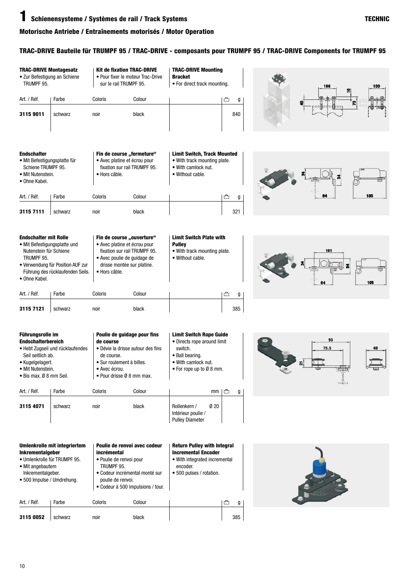## TRAC-DRIVE Bauteile für TRUMPF 95 / TRAC-DRIVE - composants pour TRUMPF 95 / TRAC-DRIVE Components for TRUMPF 95

| <b>TRAC-DRIVE Montagesatz</b><br>• Zur Befestigung an Schiene<br>TRUMPF 95.                                                                           |                                                                       | <b>Kit de fixation TRAC-DRIVE</b><br>sur le rail TRUMPF 95.                                                                                                             | • Pour fixer le moteur Trac-Drive                                                                   | <b>TRAC-DRIVE Mounting</b><br><b>Bracket</b><br>• For direct track mounting.                                                                         |   |     | 106                          | 100 |
|-------------------------------------------------------------------------------------------------------------------------------------------------------|-----------------------------------------------------------------------|-------------------------------------------------------------------------------------------------------------------------------------------------------------------------|-----------------------------------------------------------------------------------------------------|------------------------------------------------------------------------------------------------------------------------------------------------------|---|-----|------------------------------|-----|
| Art. / Réf.                                                                                                                                           | Farbe                                                                 | Coloris                                                                                                                                                                 | Colour                                                                                              |                                                                                                                                                      | එ | g   |                              |     |
| 3115 9011                                                                                                                                             | schwarz                                                               | noir                                                                                                                                                                    | black                                                                                               |                                                                                                                                                      |   | 840 |                              |     |
| <b>Endschalter</b><br>· Mit Befestigungsplatte für<br>Schiene TRUMPF 95.<br>• Mit Nutenstein.<br>• Ohne Kabel.                                        |                                                                       | Fin de course "fermeture"<br>• Avec platine et écrou pour<br>fixation sur rail TRUMPF 95.<br>• Hors câble.                                                              |                                                                                                     | <b>Limit Switch, Track Mounted</b><br>. With track mounting plate.<br>• With camlock nut.<br>• Without cable.                                        |   |     |                              |     |
| Art. / Réf.                                                                                                                                           | Farbe                                                                 | Coloris                                                                                                                                                                 | Colour                                                                                              |                                                                                                                                                      | එ | g   | 64                           | 105 |
| 3115 7111                                                                                                                                             | schwarz                                                               | noir                                                                                                                                                                    | black                                                                                               |                                                                                                                                                      |   | 321 |                              |     |
| <b>Endschalter mit Rolle</b><br>• Mit Befestigungsplatte und<br>Nutenstein für Schiene<br>TRUMPF 95.<br>• Ohne Kabel.                                 | • Verwendung für Position AUF zur<br>Führung des rücklaufenden Seils. | Fin de course "ouverture"<br>• Avec platine et écrou pour<br>fixation sur rail TRUMPF 95.<br>• Avec poulie de guidage de<br>drisse montée sur platine.<br>• Hors câble. |                                                                                                     | <b>Limit Switch Plate with</b><br><b>Pullev</b><br>• With track mounting plate.<br>• Without cable.                                                  |   |     | 101<br>64                    | 105 |
| Art. / Réf.                                                                                                                                           | Farbe                                                                 | Coloris                                                                                                                                                                 | Colour                                                                                              |                                                                                                                                                      | එ | g   |                              |     |
| 3115 7121                                                                                                                                             | schwarz                                                               | noir                                                                                                                                                                    | black                                                                                               |                                                                                                                                                      |   | 385 |                              |     |
| Führungsrolle im<br><b>Endschalterbereich</b><br>Seil seitlich ab.<br>• Kugelgelagert.<br>• Mit Nutenstein.<br>• Bis max. Ø 8 mm Seil.<br>Art. / Réf. | • Hebt Zugseil und rücklaufendes<br>Farbe                             | Poulie de guidage pour fins<br>de course<br>de course.<br>• Sur roulement à billes.<br>• Avec écrou.<br>• Pour drisse Ø 8 mm max.<br>Coloris                            | • Dévie la drisse autour des fins<br>Colour                                                         | <b>Limit Switch Rope Guide</b><br>• Directs rope around limit<br>switch.<br>· Ball bearing.<br>• With camlock nut.<br>• For rope up to Ø 8 mm.<br>mm | එ | g   | 93<br>75.5<br>ಸ<br>$5 - 422$ |     |
| 3115 4071                                                                                                                                             | schwarz                                                               | noir                                                                                                                                                                    | black                                                                                               | Rollenkern /<br>020<br>Intérieur poulie /<br><b>Pulley Diameter</b>                                                                                  |   |     |                              |     |
| Inkrementalgeber<br>• Umlenkrolle für TRUMPF 95.<br>• Mit angebautem<br>Inkrementalgeber.<br>• 500 Impulse / Umdrehung.                               | <b>Umlenkrolle mit integriertem</b>                                   | incrémental<br>· Poulie de renvoi pour<br>TRUMPF 95.<br>poulie de renvoi.                                                                                               | Poulie de renvoi avec codeur<br>• Codeur incrémental monté sur<br>• Codeur à 500 impulsions / tour. | <b>Return Pulley with Integral</b><br><b>Incremental Encoder</b><br>• With integrated incremental<br>encoder.<br>• 500 pulses / rotation.            |   |     |                              |     |
| Art. / Réf.                                                                                                                                           | Farbe                                                                 | Coloris                                                                                                                                                                 | Colour                                                                                              |                                                                                                                                                      | ථ | g   |                              |     |
| 3115 0052                                                                                                                                             | schwarz                                                               | noir                                                                                                                                                                    | black                                                                                               |                                                                                                                                                      |   | 385 |                              |     |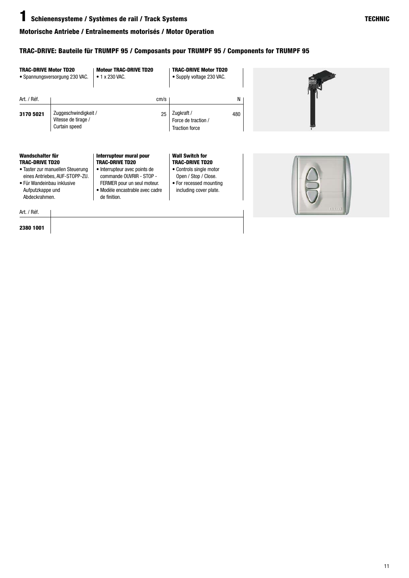# TRAC-DRIVE: Bauteile für TRUMPF 95 / Composants pour TRUMPF 95 / Components for TRUMPF 95

| Art. / Réf.<br>Ν<br>cm/s<br>Zuggeschwindigkeit /<br>Zugkraft /<br>25<br>480<br>3170 5021<br>Vitesse de tirage /<br>Force de traction /<br>Curtain speed<br><b>Traction force</b><br>Wandschalter für<br><b>Wall Switch for</b><br>Interrupteur mural pour<br><b>TRAC-DRIVE TD20</b><br><b>TRAC-DRIVE TD20</b><br><b>TRAC-DRIVE TD20</b><br>• Taster zur manuellen Steuerung<br>• Interrupteur avec points de<br>• Controls single motor<br>eines Antriebes, AUF-STOPP-ZU.<br>commande OUVRIR - STOP -<br>Open / Stop / Close.<br>• Für Wandeinbau inklusive<br>FERMER pour un seul moteur.<br>• For recessed mounting<br>• Modèle encastrable avec cadre<br>Aufputzkappe und<br>including cover plate.<br>Abdeckrahmen.<br>de finition.<br><b>TOBLY</b><br>Art. / Réf. | <b>TRAC-DRIVE Motor TD20</b> | • Spannungsversorgung 230 VAC. | <b>Moteur TRAC-DRIVE TD20</b><br>• 1 x 230 VAC. | <b>TRAC-DRIVE Motor TD20</b><br>• Supply voltage 230 VAC. |  |
|------------------------------------------------------------------------------------------------------------------------------------------------------------------------------------------------------------------------------------------------------------------------------------------------------------------------------------------------------------------------------------------------------------------------------------------------------------------------------------------------------------------------------------------------------------------------------------------------------------------------------------------------------------------------------------------------------------------------------------------------------------------------|------------------------------|--------------------------------|-------------------------------------------------|-----------------------------------------------------------|--|
|                                                                                                                                                                                                                                                                                                                                                                                                                                                                                                                                                                                                                                                                                                                                                                        |                              |                                |                                                 |                                                           |  |
|                                                                                                                                                                                                                                                                                                                                                                                                                                                                                                                                                                                                                                                                                                                                                                        |                              |                                |                                                 |                                                           |  |
|                                                                                                                                                                                                                                                                                                                                                                                                                                                                                                                                                                                                                                                                                                                                                                        |                              |                                |                                                 |                                                           |  |
|                                                                                                                                                                                                                                                                                                                                                                                                                                                                                                                                                                                                                                                                                                                                                                        |                              |                                |                                                 |                                                           |  |
|                                                                                                                                                                                                                                                                                                                                                                                                                                                                                                                                                                                                                                                                                                                                                                        |                              |                                |                                                 |                                                           |  |
| 2380 1001                                                                                                                                                                                                                                                                                                                                                                                                                                                                                                                                                                                                                                                                                                                                                              |                              |                                |                                                 |                                                           |  |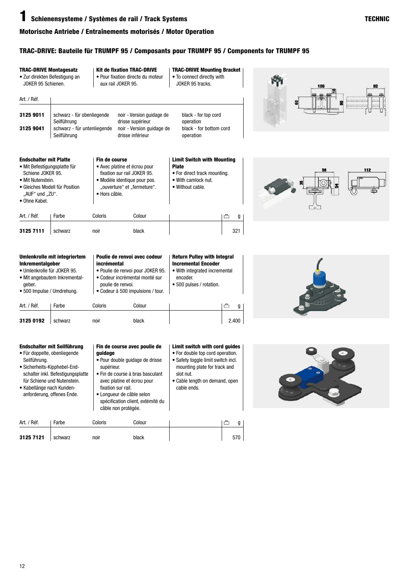112

### TRAC-DRIVE: Bauteile für TRUMPF 95 / Composants pour TRUMPF 95 / Components for TRUMPF 95

#### TRAC-DRIVE Montagesatz

- Zur direkten Befestigung an JOKER 95 Schienen.
- Pour fixation directe du moteur aux rail JOKER 95.

Kit de fixation TRAC-DRIVE

Motorische Antriebe / Entraînements motorisés / Motor Operation

- TRAC-DRIVE Mounting Bracket • To connect directly with
- JOKER 95 tracks.

- Art. / Réf.
- 3125 9011 | schwarz für obenliegende Seilführung 3125 9041 | schwarz - für untenliegende Seilführung
	- noir Version guidage de drisse supérieur noir - Version guidage de drisse inférieur
- black for top cord operation black - for bottom cord operation





Endschalter mit Seilführung • Für doppelte, obenliegende

• Sicherheits-Kipphebel-End-

Seilführung.

| <b>Endschalter mit Platte</b>  | Fin de course                | <b>Limit Switch</b> |
|--------------------------------|------------------------------|---------------------|
| • Mit Befestigungsplatte für   | • Avec platine et écrou pour | <b>Plate</b>        |
| Schiene JOKER 95.              | fixation sur rail JOKER 95.  | • For direct tra    |
| • Mit Nutenstein.              | • Modèle identique pour pos. | • With camlod       |
| • Gleiches Modell für Position | "ouverture" et "fermeture".  | • Without cab       |
| "AUF" und "ZU".                | • Hors câble.                |                     |
| • Ohne Kabel.                  |                              |                     |
|                                |                              |                     |

# Limit Switch with Mounting

Limit switch with cord guides • For double top cord operation. • Safety toggle limit switch incl. mounting plate for track and

- ack mounting.
- ck nut.
- 
- le.

| Art. / Réf. | Farbe   | Coloris | Colour |     |  |
|-------------|---------|---------|--------|-----|--|
| 3125 7111   | schwarz | noir    | black  | 321 |  |

| Inkrementalgeber<br>• Umlenkrolle für JOKER 95.<br>aeber.<br>• 500 Impulse / Umdrehung. | Umlenkrolle mit integriertem<br>• Mit angebautem Inkremental- | incrémental<br>poulie de renvoi. | Poulie de renvoi avec codeur<br>• Poulie de renvoi pour JOKER 95.<br>• Codeur incrémental monté sur<br>• Codeur à 500 impulsions / tour. | <b>Return Pulley with Integral</b><br><b>Incremental Encoder</b><br>• With integrated incremental<br>encoder.<br>• 500 pulses / rotation. |   |
|-----------------------------------------------------------------------------------------|---------------------------------------------------------------|----------------------------------|------------------------------------------------------------------------------------------------------------------------------------------|-------------------------------------------------------------------------------------------------------------------------------------------|---|
| Art. / Réf.                                                                             | Farbe                                                         | Coloris                          | Colour                                                                                                                                   |                                                                                                                                           | g |
|                                                                                         |                                                               |                                  |                                                                                                                                          |                                                                                                                                           |   |





Fin de course avec poulie de

3125 0192 schwarz noir black 2.400

• Pour double guidage de drisse

guidage

supérieur.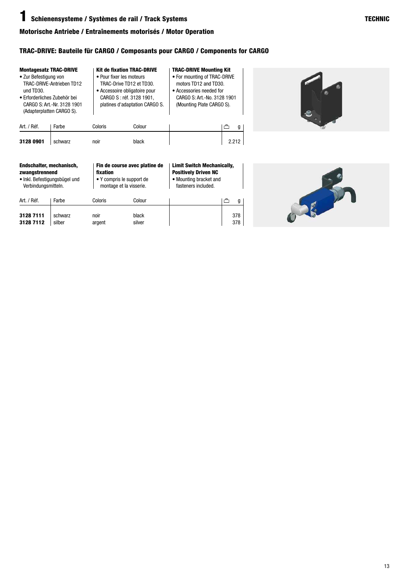### TRAC-DRIVE: Bauteile für CARGO / Composants pour CARGO / Components for CARGO

| <b>Montagesatz TRAC-DRIVE</b><br>• Zur Befestigung von<br>und $TD30.$<br>• Erforderliches Zubehör bei | TRAC-DRIVE-Antrieben TD12<br>CARGO S: Art.-Nr. 3128 1901<br>(Adapterplatten CARGO S). |         | <b>Kit de fixation TRAC-DRIVE</b><br>• Pour fixer les moteurs<br>TRAC-Drive TD12 et TD30.<br>• Accessoire obligatoire pour<br>CARGO S: réf. 3128 1901.<br>platines d'adaptation CARGO S. | <b>TRAC-DRIVE Mounting Kit</b><br>• For mounting of TRAC-DRIVE<br>motors TD12 and TD30.<br>• Accessories needed for<br>CARGO S: Art.-No. 3128 1901<br>(Mounting Plate CARGO S). |        |  |
|-------------------------------------------------------------------------------------------------------|---------------------------------------------------------------------------------------|---------|------------------------------------------------------------------------------------------------------------------------------------------------------------------------------------------|---------------------------------------------------------------------------------------------------------------------------------------------------------------------------------|--------|--|
| Art. / Réf.                                                                                           | Farbe                                                                                 | Coloris | Colour                                                                                                                                                                                   |                                                                                                                                                                                 | ீ<br>g |  |
| 3128 0901                                                                                             | schwarz                                                                               | noir    | black                                                                                                                                                                                    |                                                                                                                                                                                 | 2.212  |  |

| Endschalter, mechanisch,<br>zwangstrennend<br>· Inkl. Befestigungsbügel und<br>Verbindungsmitteln. |                   | fixation       | Fin de course avec platine de<br>• Y compris le support de<br>montage et la visserie. | <b>Limit Switch Mechanically,</b><br><b>Positively Driven NC</b><br>• Mounting bracket and<br>fasteners included. |            |  |
|----------------------------------------------------------------------------------------------------|-------------------|----------------|---------------------------------------------------------------------------------------|-------------------------------------------------------------------------------------------------------------------|------------|--|
| Art. / Réf.                                                                                        | Farbe             | Coloris        | Colour                                                                                |                                                                                                                   | g          |  |
| 3128 7111<br>3128 7112                                                                             | schwarz<br>silber | noir<br>argent | black<br>silver                                                                       |                                                                                                                   | 378<br>378 |  |

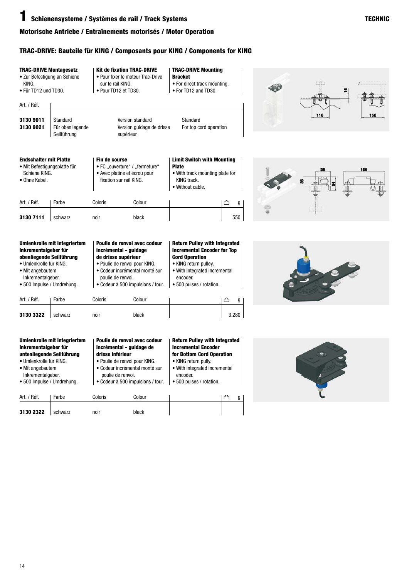## TRAC-DRIVE: Bauteile für KING / Composants pour KING / Components for KING

| <b>TRAC-DRIVE Montagesatz</b><br>KING.<br>• Für TD12 und TD30.                                                                                                    | • Zur Befestigung an Schiene                 | sur le rail KING.<br>• Pour TD12 et TD30.           | <b>Kit de fixation TRAC-DRIVE</b><br>• Pour fixer le moteur Trac-Drive                                                                                                  | <b>TRAC-DRIVE Mounting</b><br><b>Bracket</b><br>• For direct track mounting.<br>• For TD12 and TD30.                                                                                                       |       |     |     |
|-------------------------------------------------------------------------------------------------------------------------------------------------------------------|----------------------------------------------|-----------------------------------------------------|-------------------------------------------------------------------------------------------------------------------------------------------------------------------------|------------------------------------------------------------------------------------------------------------------------------------------------------------------------------------------------------------|-------|-----|-----|
| Art. / Réf.                                                                                                                                                       |                                              |                                                     |                                                                                                                                                                         |                                                                                                                                                                                                            |       | 116 | 150 |
| 3130 9011<br>3130 9021                                                                                                                                            | Standard<br>Für obenliegende<br>Seilführung  |                                                     | Version standard<br>Version guidage de drisse<br>supérieur                                                                                                              | Standard<br>For top cord operation                                                                                                                                                                         |       |     |     |
| <b>Endschalter mit Platte</b><br>• Mit Befestigungsplatte für<br>Schiene KING.<br>• Ohne Kabel.                                                                   |                                              | Fin de course<br>fixation sur rail KING.            | • FC "ouverture" / "fermeture"<br>• Avec platine et écrou pour                                                                                                          | <b>Limit Switch with Mounting</b><br><b>Plate</b><br>• With track mounting plate for<br>KING track.<br>• Without cable.                                                                                    |       |     | 160 |
| Art. / Réf.                                                                                                                                                       | Farbe                                        | Coloris                                             | Colour                                                                                                                                                                  | ඦ                                                                                                                                                                                                          | g     |     |     |
| 3130 7111                                                                                                                                                         | schwarz                                      | noir                                                | black                                                                                                                                                                   |                                                                                                                                                                                                            | 550   |     |     |
| Inkrementalgeber für<br>obenliegende Seilführung<br>• Umlenkrolle für KING.<br>• Mit angebautem<br>Inkrementalgeber.<br>• 500 Impulse / Umdrehung.<br>Art. / Réf. | <b>Umlenkrolle mit integriertem</b><br>Farbe | de drisse supérieur<br>poulie de renvoi.<br>Coloris | Poulie de renvoi avec codeur<br>incrémental - guidage<br>· Poulie de renvoi pour KING.<br>· Codeur incrémental monté sur<br>• Codeur à 500 impulsions / tour.<br>Colour | <b>Return Pulley with Integrated</b><br><b>Incremental Encoder for Top</b><br><b>Cord Operation</b><br>• KING return pulley.<br>• With integrated incremental<br>encoder.<br>• 500 pulses / rotation.<br>௹ | g     |     |     |
|                                                                                                                                                                   |                                              |                                                     |                                                                                                                                                                         |                                                                                                                                                                                                            |       |     |     |
| 3130 3322                                                                                                                                                         | schwarz                                      | noir                                                | black                                                                                                                                                                   |                                                                                                                                                                                                            | 3.280 |     |     |

#### Umlenkrolle mit integriertem Inkrementalgeber für untenliegende Seilführung • Umlenkrolle für KING.

• Mit angebautem Inkrementalgeber. • 500 Impulse / Umdrehung.

Poulie de renvoi avec codeur incrémental - guidage de drisse inférieur

- Poulie de renvoi pour KING. • Codeur incrémental monté sur
	- poulie de renvoi. • Codeur à 500 impulsions / tour.

#### Return Pulley with Integrated Incremental Encoder for Bottom Cord Operation

- KING return pully.
- With integrated incremental
- encoder.
- 500 pulses / rotation.

| Art. / Réf. | Farbe   | Coloris | Colour | ے_ | u |
|-------------|---------|---------|--------|----|---|
| 3130 2322   | schwarz | noir    | black  |    |   |

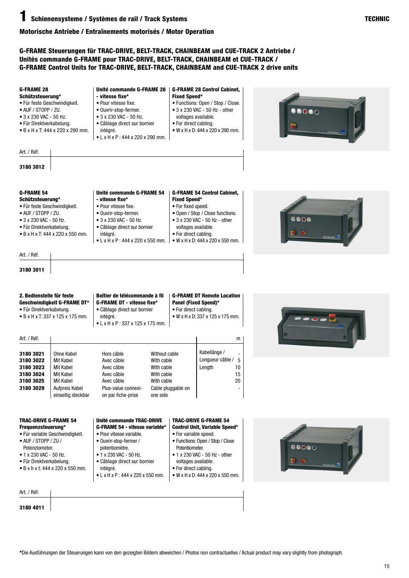#### Motorische Antriebe / Entraînements motorisés / Motor Operation

#### G-FRAME Steuerungen für TRAC-DRIVE, BELT-TRACK, CHAINBEAM und CUE-TRACK 2 Antriebe / Unités commande G-FRAME pour TRAC-DRIVE, BELT-TRACK, CHAINBEAM et CUE-TRACK / G-FRAME Control Units for TRAC-DRIVE, BELT-TRACK, CHAINBEAM and CUE-TRACK 2 drive units

| <b>G-FRAME 28</b><br>Schützsteuerung*<br>• Für feste Geschwindigkeit.<br>• AUF / STOPP / ZU.<br>$\bullet$ 3 x 230 VAC - 50 Hz.<br>• Für Direktverkabelung.<br>• B x H x T: 444 x 220 x 290 mm.                            |                                                                                                                             | Unité commande G-FRAME 28<br>- vitesse fixe*<br>• Pour vitesse fixe.<br>• Ouvrir-stop-fermer.<br>• 3 x 230 VAC - 50 Hz.<br>• Câblage direct sur bornier<br>intégré.<br>$\bullet$ L x H x P : 444 x 220 x 290 mm.                                       | <b>Fixed Speed*</b><br>voltages available.<br>• For direct cabling.                       | <b>G-FRAME 28 Control Cabinet,</b><br>• Functions: Open / Stop / Close.<br>• 3 x 230 VAC - 50 Hz - other<br>• W x H x D: 444 x 220 x 290 mm.                           | 00000                          |
|---------------------------------------------------------------------------------------------------------------------------------------------------------------------------------------------------------------------------|-----------------------------------------------------------------------------------------------------------------------------|--------------------------------------------------------------------------------------------------------------------------------------------------------------------------------------------------------------------------------------------------------|-------------------------------------------------------------------------------------------|------------------------------------------------------------------------------------------------------------------------------------------------------------------------|--------------------------------|
| Art. / Réf.                                                                                                                                                                                                               |                                                                                                                             |                                                                                                                                                                                                                                                        |                                                                                           |                                                                                                                                                                        |                                |
| 3180 3012                                                                                                                                                                                                                 |                                                                                                                             |                                                                                                                                                                                                                                                        |                                                                                           |                                                                                                                                                                        |                                |
| <b>G-FRAME 54</b><br>Schützsteuerung*<br>• Für feste Geschwindigkeit.<br>• AUF / STOPP / ZU.<br>$\bullet$ 3 x 230 VAC - 50 Hz.<br>· Für Direktverkabelung.                                                                | • B x H x T: 444 x 220 x 550 mm.                                                                                            | Unité commande G-FRAME 54<br>- vitesse fixe*<br>• Pour vitesse fixe.<br>· Ouvrir-stop-fermer.<br>• 3 x 230 VAC - 50 Hz.<br>• Câblage direct sur bornier<br>intégré.<br>$\bullet$ L x H x P : 444 x 220 x 550 mm.                                       | <b>Fixed Speed*</b><br>• For fixed speed.<br>voltages available.<br>• For direct cabling. | <b>G-FRAME 54 Control Cabinet,</b><br>• Open / Stop / Close functions.<br>• 3 x 230 VAC - 50 Hz - other<br>• W x H x D: 444 x 220 x 550 mm.                            | $\bullet\bullet\bullet\bullet$ |
| Art. / Réf.                                                                                                                                                                                                               |                                                                                                                             |                                                                                                                                                                                                                                                        |                                                                                           |                                                                                                                                                                        |                                |
| 3180 3011                                                                                                                                                                                                                 |                                                                                                                             |                                                                                                                                                                                                                                                        |                                                                                           |                                                                                                                                                                        |                                |
| 2. Bedienstelle für feste<br>· Für Direktverkabelung.<br>Art. / Réf.                                                                                                                                                      | Geschwindigkeit G-FRAME DT*<br>• B x H x T: 337 x 125 x 175 mm.                                                             | Boîtier de télécommande à fil<br><b>G-FRAME DT - vitesse fixe*</b><br>• Câblage direct sur bornier<br>intégré.<br>$\bullet$ L x H x P : 337 x 125 x 175 mm.                                                                                            | • For direct cabling.                                                                     | <b>G-FRAME DT Remote Location</b><br>Panel (Fixed Speed)*<br>• W x H x D: 337 x 125 x 175 mm.<br>m                                                                     |                                |
| 3180 3021<br>3180 3022<br>3180 3023<br>3180 3024<br>3180 3025<br>3180 3029                                                                                                                                                | Ohne Kabel<br><b>Mit Kabel</b><br><b>Mit Kabel</b><br><b>Mit Kabel</b><br>Mit Kabel<br>Aufpreis Kabel<br>einseitig steckbar | Hors câble<br>Without cable<br>Avec câble<br>With cable<br>Avec câble<br>With cable<br>Avec câble<br>With cable<br>Avec câble<br>With cable<br>Plus-value connexi-<br>on par fiche-prise<br>one side                                                   | Cable pluggable on                                                                        | Kabellänge /<br>Longueur câble /<br>5<br>10<br>Length<br>15<br>20<br>$\overline{\phantom{0}}$                                                                          |                                |
| <b>TRAC-DRIVE G-FRAME 54</b><br>Frequenzsteuerung*<br>· Für variable Geschwindigkeit.<br>• AUF / STOPP / ZU /<br>Potenziometer.<br>• 1 x 230 VAC - 50 Hz.<br>• Für Direktverkabelung.<br>• B x h x t: 444 x 220 x 550 mm. |                                                                                                                             | Unité commande TRAC-DRIVE<br>G-FRAME 54 - vitesse variable*<br>• Pour vitesse variable.<br>• Ouvrir-stop-fermer /<br>potentiomètre.<br>• 1 x 230 VAC - 50 Hz.<br>• Câblage direct sur bornier<br>intégré.<br>$\bullet$ L x H x P : 444 x 220 x 550 mm. | • For variable speed.<br>Potentiometer.<br>voltages available.<br>• For direct cabling.   | <b>TRAC-DRIVE G-FRAME 54</b><br>Control Unit, Variable Speed*<br>• Functions: Open / Stop / Close<br>• 1 x 230 VAC - 50 Hz - other<br>• W x H x D: 444 x 220 x 550 mm. | $\circ\circ\circ\circ$         |
| Art. / Réf.                                                                                                                                                                                                               |                                                                                                                             |                                                                                                                                                                                                                                                        |                                                                                           |                                                                                                                                                                        |                                |
| 3180 4011                                                                                                                                                                                                                 |                                                                                                                             |                                                                                                                                                                                                                                                        |                                                                                           |                                                                                                                                                                        |                                |

\*Die Ausführungen der Steuerungen kann von den gezeigten Bildern abweichen / Photos non contractuelles / Actual product may vary slightly from photograph.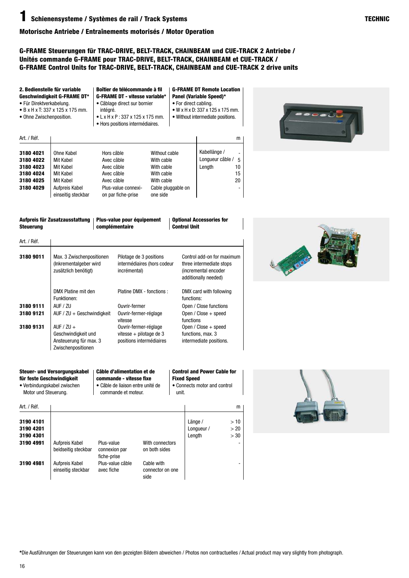#### Motorische Antriebe / Entraînements motorisés / Motor Operation

#### G-FRAME Steuerungen für TRAC-DRIVE, BELT-TRACK, CHAINBEAM und CUE-TRACK 2 Antriebe / Unités commande G-FRAME pour TRAC-DRIVE, BELT-TRACK, CHAINBEAM et CUE-TRACK / G-FRAME Control Units for TRAC-DRIVE, BELT-TRACK, CHAINBEAM and CUE-TRACK 2 drive units

| • Für Direktverkabelung.<br>• Ohne Zwischenposition.                       | 2. Bedienstelle für variable<br>Geschwindigkeit G-FRAME DT*<br>$\bullet$ B x H x T: 337 x 125 x 175 mm.                            | Boîtier de télécommande à fil<br><b>G-FRAME DT - vitesse variable*</b><br>• Câblage direct sur bornier<br>intégré.<br>$\bullet$ L x H x P : 337 x 125 x 175 mm.<br>• Hors positions intermédiaires. |                                                                                                         | <b>G-FRAME DT Remote Location</b><br>Panel (Variable Speed)*<br>• For direct cabling.<br>• W x H x D: 337 x 125 x 175 mm.<br>• Without intermediate positions. |  |
|----------------------------------------------------------------------------|------------------------------------------------------------------------------------------------------------------------------------|-----------------------------------------------------------------------------------------------------------------------------------------------------------------------------------------------------|---------------------------------------------------------------------------------------------------------|----------------------------------------------------------------------------------------------------------------------------------------------------------------|--|
| Art. / Réf.                                                                |                                                                                                                                    |                                                                                                                                                                                                     |                                                                                                         | m                                                                                                                                                              |  |
| 3180 4021<br>3180 4022<br>3180 4023<br>3180 4024<br>3180 4025<br>3180 4029 | Ohne Kabel<br><b>Mit Kabel</b><br><b>Mit Kabel</b><br><b>Mit Kabel</b><br><b>Mit Kabel</b><br>Aufpreis Kabel<br>einseitig steckbar | Hors câble<br>Avec câble<br>Avec câble<br>Avec câble<br>Avec câble<br>Plus-value connexi-<br>on par fiche-prise                                                                                     | Without cable<br>With cable<br>With cable<br>With cable<br>With cable<br>Cable pluggable on<br>one side | Kabellänge /<br>Longueur câble /<br>5<br>Length<br>10<br>15<br>20                                                                                              |  |
| <b>Steuerung</b>                                                           | Aufpreis für Zusatzausstattung                                                                                                     | Plus-value pour équipement<br>complémentaire                                                                                                                                                        | <b>Control Unit</b>                                                                                     | <b>Optional Accessories for</b>                                                                                                                                |  |
| Art. / Réf.                                                                |                                                                                                                                    |                                                                                                                                                                                                     |                                                                                                         |                                                                                                                                                                |  |
| 3180 9011                                                                  | Max. 3 Zwischenpositionen<br>(Inkrementalgeber wird<br>zusätzlich benötigt)                                                        | Pilotage de 3 positions<br>incrémental)                                                                                                                                                             | intermédiaires (hors codeur                                                                             | Control add-on for maximum<br>three intermediate stops<br>(incremental encoder                                                                                 |  |

additionally needed)

Open / Close + speed

Open / Close + speed functions, max. 3 intermediate positions.

Control and Power Cable for

-

functions:

functions

Platine DMX - fonctions : DMX card with following

| für feste Geschwindigkeit<br>Motor und Steuerung. | Steuer- und Versorgungskabel<br>• Verbindungskabel zwischen | Câble d'alimentation et de<br>commande - vitesse fixe<br>• Câble de liaison entre unité de<br>commande et moteur. |                                  | unit. | <b>Control and Power Cable for</b><br><b>Fixed Speed</b><br>• Connects motor and control |                   |
|---------------------------------------------------|-------------------------------------------------------------|-------------------------------------------------------------------------------------------------------------------|----------------------------------|-------|------------------------------------------------------------------------------------------|-------------------|
| Art. / Réf.                                       |                                                             |                                                                                                                   |                                  |       |                                                                                          | m                 |
| 3190 4101<br>3190 4201<br>3190 4301<br>3190 4991  | Aufpreis Kabel<br>beidseitig steckbar                       | Plus-value<br>connexion par                                                                                       | With connectors<br>on both sides |       | Länge /<br>Longueur /<br>Length                                                          | >10<br>>20<br>>30 |

Cable with connector on one

side

fiche-prise

Plus-value câble avec fiche

3180 9111 | AUF / ZU Ouvrir-fermer Open / Close functions

vitesse

Ouvrir-fermer-réglage vitesse + pilotage de 3 positions intermédiaires

DMX Platine mit den Funktionen:

Geschwindigkeit und Ansteuerung für max. 3 Zwischenpositionen

**3180 9131** | AUF / ZU +

3190 4981 | Aufpreis Kabel

einseitig steckbar

3180 9121 | AUF / ZU + Geschwindigkeit Ouvrir-fermer-réglage



\*Die Ausführungen der Steuerungen kann von den gezeigten Bildern abweichen / Photos non contractuelles / Actual product may vary slightly from photograph.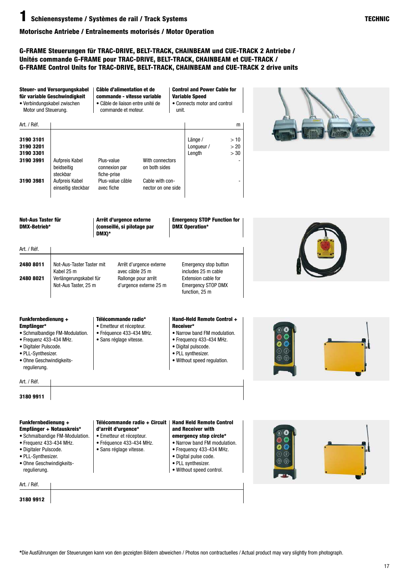### Motorische Antriebe / Entraînements motorisés / Motor Operation

#### G-FRAME Steuerungen für TRAC-DRIVE, BELT-TRACK, CHAINBEAM und CUE-TRACK 2 Antriebe / Unités commande G-FRAME pour TRAC-DRIVE, BELT-TRACK, CHAINBEAM et CUE-TRACK / G-FRAME Control Units for TRAC-DRIVE, BELT-TRACK, CHAINBEAM and CUE-TRACK 2 drive units

| • Verbindungskabel zwischen<br>Motor und Steuerung.                                                                                                                    | <b>Steuer- und Versorgungskabel</b><br>für variable Geschwindigkeit                       | Câble d'alimentation et de<br>commande - vitesse variable<br>• Câble de liaison entre unité de<br>commande et moteur.                                     | unit.     | <b>Control and Power Cable for</b><br><b>Variable Speed</b><br>• Connects motor and control                                                                                        |                       |                                                                    |  |
|------------------------------------------------------------------------------------------------------------------------------------------------------------------------|-------------------------------------------------------------------------------------------|-----------------------------------------------------------------------------------------------------------------------------------------------------------|-----------|------------------------------------------------------------------------------------------------------------------------------------------------------------------------------------|-----------------------|--------------------------------------------------------------------|--|
| Art. / Réf.                                                                                                                                                            |                                                                                           |                                                                                                                                                           |           |                                                                                                                                                                                    | m                     |                                                                    |  |
| 3190 3101<br>3190 3201<br>3190 3301                                                                                                                                    |                                                                                           |                                                                                                                                                           |           | Länge /<br>Longueur /<br>Length                                                                                                                                                    | >10<br>$>20\,$<br>>30 |                                                                    |  |
| 3190 3991<br>3190 3981                                                                                                                                                 | Aufpreis Kabel<br>beidseitig<br>steckbar<br>Aufpreis Kabel<br>einseitig steckbar          | Plus-value<br>With connectors<br>on both sides<br>connexion par<br>fiche-prise<br>Plus-value câble<br>Cable with con-<br>avec fiche<br>nector on one side |           |                                                                                                                                                                                    |                       |                                                                    |  |
| Not-Aus Taster für<br>DMX-Betrieb*                                                                                                                                     |                                                                                           | Arrêt d'urgence externe<br>(conseillé, si pilotage par<br>DMX)*                                                                                           |           | <b>Emergency STOP Function for</b><br><b>DMX Operation*</b>                                                                                                                        |                       |                                                                    |  |
| Art. / Réf.                                                                                                                                                            |                                                                                           |                                                                                                                                                           |           |                                                                                                                                                                                    |                       |                                                                    |  |
| 2480 8011<br>2480 8021                                                                                                                                                 | Not-Aus-Taster Taster mit<br>Kabel 25 m<br>Verlängerungskabel für<br>Not-Aus Taster, 25 m | Arrêt d'urgence externe<br>avec câble 25 m<br>Rallonge pour arrêt<br>d'urgence externe 25 m                                                               |           | <b>Emergency stop button</b><br>includes 25 m cable<br>Extension cable for<br>Emergency STOP DMX<br>function, 25 m                                                                 |                       |                                                                    |  |
| Funkfernbedienung +<br>Empfänger*<br>• Frequenz 433-434 MHz.<br>· Digitaler Pulscode.<br>• PLL-Synthesizer.<br>• Ohne Geschwindigkeits-<br>regulierung.<br>Art. / Réf. | • Schmalbandige FM-Modulation.                                                            | Télécommande radio*<br>· Emetteur et récepteur.<br>· Fréquence 433-434 MHz.<br>· Sans réglage vitesse.                                                    | Receiver* | Hand-Held Remote Control +<br>• Narrow band FM modulation.<br>• Frequency 433-434 MHz.<br>· Digital pulscode.<br>• PLL synthesizer.<br>• Without speed regulation.                 |                       | $\mathbb{R}$ :<br>O<br>$\bullet$ $\circ$<br>$\mathcal{D}$ (2)<br>⊛ |  |
|                                                                                                                                                                        |                                                                                           |                                                                                                                                                           |           |                                                                                                                                                                                    |                       |                                                                    |  |
| 3180 9911<br>Funkfernbedienung +                                                                                                                                       |                                                                                           | Télécommande radio + Circuit                                                                                                                              |           | <b>Hand Held Remote Control</b>                                                                                                                                                    |                       |                                                                    |  |
| Empfänger + Notauskreis*<br>• Frequenz 433-434 MHz.<br>· Digitaler Pulscode.<br>• PLL-Synthesizer.<br>• Ohne Geschwindigkeits-<br>regulierung.                         | • Schmalbandige FM-Modulation.                                                            | d'arrêt d'urgence*<br>• Emetteur et récepteur.<br>· Fréquence 433-434 MHz.<br>· Sans réglage vitesse.                                                     |           | and Receiver with<br>emergency stop circle*<br>• Narrow band FM modulation.<br>• Frequency 433-434 MHz.<br>· Digital pulse code.<br>• PLL synthesizer.<br>• Without speed control. |                       | $\mathbb{O}$ $\mathbb{O}$<br>$\odot$                               |  |
| Art. / Réf.<br>3180 9912                                                                                                                                               |                                                                                           |                                                                                                                                                           |           |                                                                                                                                                                                    |                       |                                                                    |  |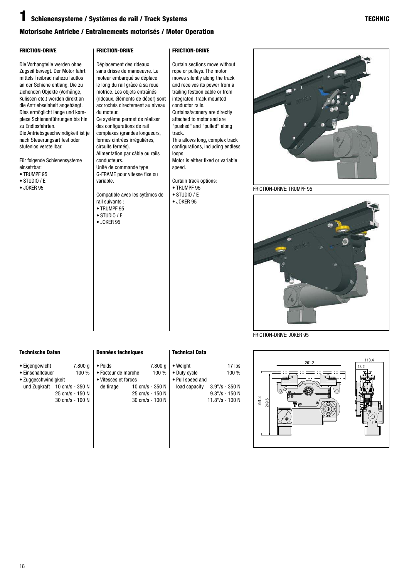#### FRICTION-DRIVE

#### FRICTION-DRIVE

#### FRICTION-DRIVE

Die Vorhangteile werden ohne Zugseil bewegt. Der Motor fährt mittels Treibrad nahezu lautlos an der Schiene entlang. Die zu ziehenden Objekte (Vorhänge, Kulissen etc.) werden direkt an die Antriebseinheit angehängt. Dies ermöglicht lange und komplexe Schienenführungen bis hin zu Endlosfahrten. Die Antriebsgeschwindigkeit ist je nach Steuerungsart fest oder stufenlos verstellbar.

Für folgende Schienensysteme einsetzbar:

- TRUMPF 95
- STUDIO / E
- JOKER 95

Déplacement des rideaux sans drisse de manoeuvre. Le moteur embarqué se déplace le long du rail grâce à sa roue motrice. Les objets entraînés (rideaux, éléments de décor) sont accrochés directement au niveau du moteur. Ce système permet de réaliser des configurations de rail complexes (grandes longueurs, formes cintrées irrégulières, circuits fermés). Alimentation par câble ou rails conducteurs. Unité de commande type G-FRAME pour vitesse fixe ou

Compatible avec les sytèmes de rail suivants :

• TRUMPF 95

variable.

- STUDIO / E
- JOKER 95

Curtain sections move without rope or pulleys. The motor moves silently along the track and receives its power from a trailing festoon cable or from integrated, track mounted conductor rails. Curtains/scenery are directly attached to motor and are "pushed" and "pulled" along track.

This allows long, complex track configurations, including endless loops.

Motor is either fixed or variable speed.

Curtain track options:

- TRUMPF 95
- STUDIO / E
- JOKER 95



FRICTION-DRIVE: TRUMPF 95



FRICTION-DRIVE: JOKER 95



Technische Daten • Eigengewicht 7.800 g<br>• Einschaltdauer 100 %

- $\bullet$  Einschaltdauer • Zuggeschwindigkeit
- und Zugkraft 10 cm/s 350 N
- 25 cm/s 150 N

Données techniques • Poids 7.800 g<br>• Facteur de marche 100 % • Facteur de marche • Vitesses et forces de tirage 10 cm/s - 350 N 25 cm/s - 150 N

30 cm/s - 100 N

30 cm/s - 100 N

Technical Data • Weight 17 lbs<br>• Duty cycle 100 % • Duty cycle • Pull speed and

load capacity 3.9"/s - 350 N 9.8"/s - 150 N 11.8"/s - 100 N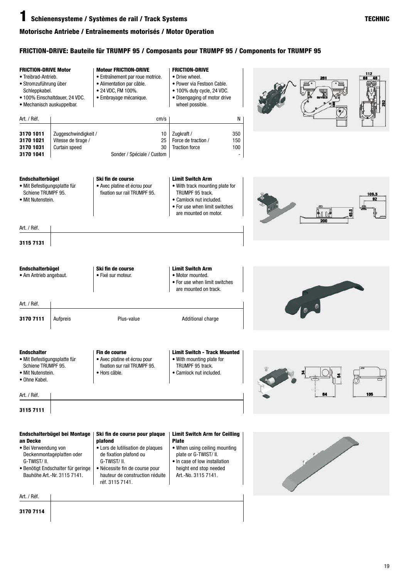# Motorische Antriebe / Entraînements motorisés / Motor Operation

#### FRICTION-DRIVE: Bauteile für TRUMPF 95 / Composants pour TRUMPF 95 / Components for TRUMPF 95

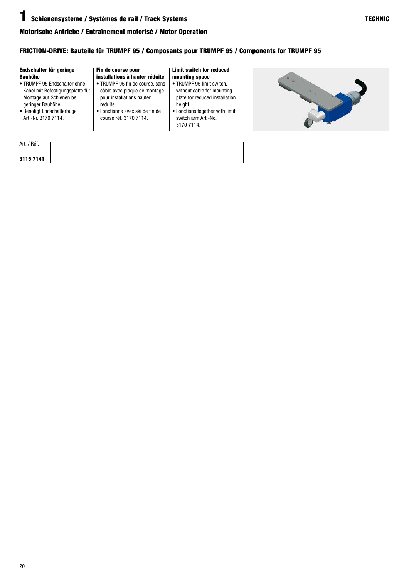## FRICTION-DRIVE: Bauteile für TRUMPF 95 / Composants pour TRUMPF 95 / Components for TRUMPF 95

|--|

Art. / Réf.

3115 7141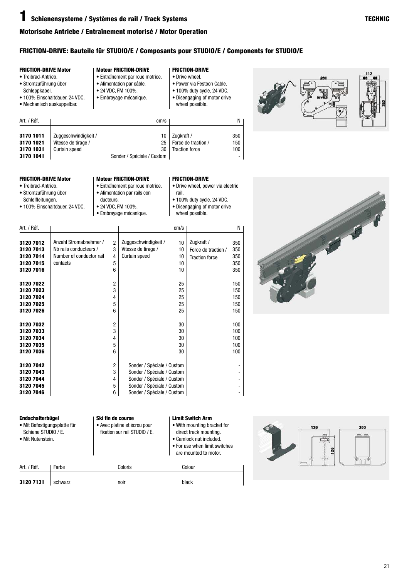Motorische Antriebe / Entraînement motorisé / Motor Operation

# FRICTION-DRIVE: Bauteile für STUDIO/E / Composants pour STUDIO/E / Components for STUDIO/E

| <b>FRICTION-DRIVE Motor</b><br>• Treibrad-Antrieb.<br>• Stromzuführung über<br>Schleppkabel.<br>• Mechanisch auskuppelbar.<br>Art. / Réf. | · 100% Einschaltdauer, 24 VDC.                                                           | • 24 VDC, FM 100%.                                    | <b>Moteur FRICTION-DRIVE</b><br>• Entraînement par roue motrice.<br>• Alimentation par câble.<br>· Embrayage mécanique.                            | • Drive wheel.                         | <b>FRICTION-DRIVE</b><br>• Power via Festoon Cable.<br>• 100% duty cycle, 24 VDC.<br>• Disengaging of motor drive<br>wheel possible.                                  |                                                              | 112                                      |
|-------------------------------------------------------------------------------------------------------------------------------------------|------------------------------------------------------------------------------------------|-------------------------------------------------------|----------------------------------------------------------------------------------------------------------------------------------------------------|----------------------------------------|-----------------------------------------------------------------------------------------------------------------------------------------------------------------------|--------------------------------------------------------------|------------------------------------------|
|                                                                                                                                           |                                                                                          |                                                       | cm/s                                                                                                                                               |                                        |                                                                                                                                                                       | N                                                            |                                          |
| 3170 1011<br>3170 1021<br>3170 1031<br>3170 1041                                                                                          | Zuggeschwindigkeit /<br>Vitesse de tirage /<br>Curtain speed                             |                                                       | 10<br>25<br>30<br>Sonder / Spéciale / Custom                                                                                                       | Zugkraft /<br><b>Traction force</b>    | Force de traction /                                                                                                                                                   | 350<br>150<br>100                                            |                                          |
| <b>FRICTION-DRIVE Motor</b>                                                                                                               |                                                                                          |                                                       | <b>Moteur FRICTION-DRIVE</b>                                                                                                                       |                                        | <b>FRICTION-DRIVE</b>                                                                                                                                                 |                                                              |                                          |
| • Treibrad-Antrieb.<br>• Stromzuführung über<br>Schleifleitungen.                                                                         | • 100% Einschaltdauer, 24 VDC.                                                           | ducteurs.<br>• 24 VDC, FM 100%.                       | • Entraînement par roue motrice.<br>• Alimentation par rails con<br>· Embrayage mécanique.                                                         | rail.                                  | · Drive wheel, power via electric<br>. 100% duty cycle, 24 VDC.<br>• Disengaging of motor drive<br>wheel possible.                                                    |                                                              |                                          |
| Art. / Réf.                                                                                                                               |                                                                                          |                                                       |                                                                                                                                                    | cm/s                                   |                                                                                                                                                                       | N                                                            |                                          |
| 3120 7012<br>3120 7013<br>3120 7014<br>3120 7015<br>3120 7016<br>3120 7022<br>3120 7023                                                   | Anzahl Stromabnehmer /<br>Nb rails conducteurs /<br>Number of conductor rail<br>contacts | $\overline{\mathbf{c}}$<br>3<br>4<br>5<br>6<br>2<br>3 | Zuggeschwindigkeit /<br>Vitesse de tirage /<br>Curtain speed                                                                                       | 10<br>10<br>10<br>10<br>10<br>25<br>25 | Zugkraft /<br>Force de traction /<br><b>Traction force</b>                                                                                                            | 350<br>350<br>350<br>350<br>350<br>150<br>150                |                                          |
| 3120 7024<br>3120 7025<br>3120 7026                                                                                                       |                                                                                          | 4<br>5<br>6                                           |                                                                                                                                                    | 25<br>25<br>25                         |                                                                                                                                                                       | 150<br>150<br>150                                            |                                          |
| 3120 7032<br>3120 7033<br>3120 7034<br>3120 7035<br>3120 7036                                                                             |                                                                                          | 2<br>3<br>4<br>5<br>6                                 |                                                                                                                                                    | 30<br>30<br>$30\,$<br>$30\,$<br>30     |                                                                                                                                                                       | 100<br>100<br>100<br>100<br>100                              |                                          |
| 3120 7042<br>3120 7043<br>3120 7044<br>3120 7045<br>3120 7046                                                                             |                                                                                          | $\overline{\mathbf{c}}$<br>3<br>4<br>5<br>6           | Sonder / Spéciale / Custom<br>Sonder / Spéciale / Custom<br>Sonder / Spéciale / Custom<br>Sonder / Spéciale / Custom<br>Sonder / Spéciale / Custom |                                        |                                                                                                                                                                       | $\overline{\phantom{a}}$<br>$\blacksquare$<br>$\blacksquare$ |                                          |
| <b>Endschalterbügel</b><br>• Mit Befestigungsplatte für<br>Schiene STUDIO / E.<br>• Mit Nutenstein.                                       |                                                                                          | Ski fin de course                                     | • Avec platine et écrou pour<br>fixation sur rail STUDIO / E.                                                                                      |                                        | <b>Limit Switch Arm</b><br>• With mounting bracket for<br>direct track mounting.<br>• Camlock nut included.<br>• For use when limit switches<br>are mounted to motor. |                                                              | 126<br>200<br><b>CD</b> CD<br><b>126</b> |
| Art. / Réf.                                                                                                                               | Farbe                                                                                    |                                                       | Coloris                                                                                                                                            |                                        | Colour                                                                                                                                                                |                                                              | $e_{00}$                                 |
| 3120 7131                                                                                                                                 | schwarz                                                                                  |                                                       | noir                                                                                                                                               |                                        | black                                                                                                                                                                 |                                                              |                                          |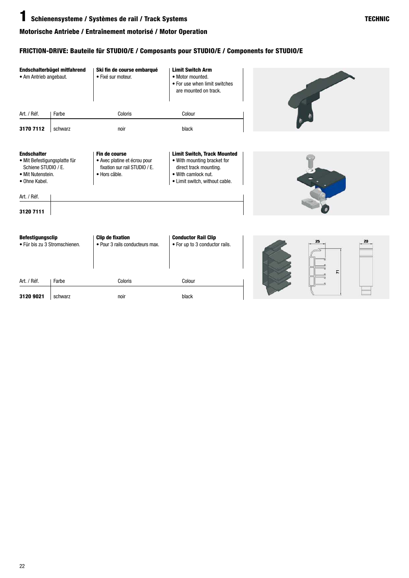### FRICTION-DRIVE: Bauteile für STUDIO/E / Composants pour STUDIO/E / Components for STUDIO/E

| • Am Antrieb angebaut.                                                                                                         | Endschalterbügel mitfahrend   | Ski fin de course embarqué<br>· Fixé sur moteur.                                                | <b>Limit Switch Arm</b><br>• Motor mounted.<br>• For use when limit switches<br>are mounted on track.                                                |    |
|--------------------------------------------------------------------------------------------------------------------------------|-------------------------------|-------------------------------------------------------------------------------------------------|------------------------------------------------------------------------------------------------------------------------------------------------------|----|
| Art. / Réf.                                                                                                                    | Farbe                         | Coloris                                                                                         | Colour                                                                                                                                               |    |
| 3170 7112                                                                                                                      | schwarz                       | noir                                                                                            | black                                                                                                                                                |    |
| <b>Endschalter</b><br>• Mit Befestigungsplatte für<br>Schiene STUDIO / E.<br>• Mit Nutenstein.<br>• Ohne Kabel.<br>Art. / Réf. |                               | Fin de course<br>• Avec platine et écrou pour<br>fixation sur rail STUDIO / E.<br>· Hors câble. | <b>Limit Switch, Track Mounted</b><br>• With mounting bracket for<br>direct track mounting.<br>• With camlock nut.<br>• Limit switch, without cable. |    |
| 3120 7111                                                                                                                      |                               |                                                                                                 |                                                                                                                                                      |    |
| <b>Befestigungsclip</b>                                                                                                        | · Für bis zu 3 Stromschienen. | <b>Clip de fixation</b><br>• Pour 3 rails conducteurs max.                                      | <b>Conductor Rail Clip</b><br>• For up to 3 conductor rails.                                                                                         | 25 |
| Art. / Réf.                                                                                                                    | Farbe                         | Coloris                                                                                         | Colour                                                                                                                                               | г  |

3120 9021 schwarz noir noir black

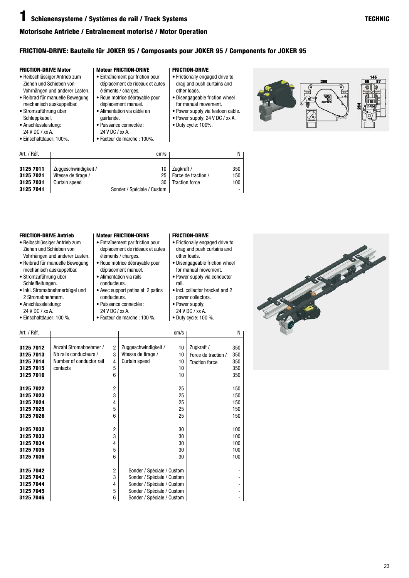# FRICTION-DRIVE: Bauteile für JOKER 95 / Composants pour JOKER 95 / Components for JOKER 95

#### FRICTION-DRIVE Motor

- Reibschlüssiger Antrieb zum Ziehen und Schieben von Vohrhängen und anderer Lasten.
- Reibrad für manuelle Bewegung mechanisch auskuppelbar.
- Stromzuführung über Schleppkabel.
- Anschlussleistung: 24 V DC / xx A.
- Einschaltdauer: 100%.

#### Moteur FRICTION-DRIVE FRICTION-DRIVE • Frictionally engaged drive to

- Entraînement par friction pour déplacement de rideaux et autes
- éléments / charges. • Roue motrice débrayable pour déplacement manuel.

 guirlande. • Puissance connectée : 24 V DC / xx A. • Facteur de marche : 100%.

- Alimentation via câble en
- for manual movement. • Power supply via festoon cable. • Power supply: 24 V DC / xx A.

drag and push curtains and

• Disengageable friction wheel

• Duty cycle: 100%.

other loads.



| Art. / Réf. |                      | cm/s                       |                          |     |
|-------------|----------------------|----------------------------|--------------------------|-----|
|             |                      |                            |                          |     |
| 3125 7011   | Zuggeschwindigkeit / | 10                         | Zugkraft/                | 350 |
| 3125 7021   | Vitesse de tirage /  |                            | 25   Force de traction / | 150 |
| 3125 7031   | Curtain speed        | 30                         | <b>Traction force</b>    | 100 |
| 3125 7041   |                      | Sonder / Spéciale / Custom |                          | -   |

#### FRICTION-DRIVE Antrieb

| <b>FRICTION-DRIVE Antrieb</b>   | <b>Moteur FRICTION-DRIVE</b>      | <b>FRICTION-DRIVE</b>           |
|---------------------------------|-----------------------------------|---------------------------------|
| • Reibschlüssiger Antrieb zum   | • Entraînement par friction pour  | • Frictionally engaged drive to |
| Ziehen und Schieben von         | déplacement de rideaux et autes   | drag and push curtains and      |
| Vohrhängen und anderer Lasten.  | éléments / charges.               | other loads.                    |
| • Reibrad für manuelle Bewegung | • Roue motrice débrayable pour    | • Disengageable friction wheel  |
| mechanisch auskuppelbar.        | déplacement manuel.               | for manual movement.            |
| • Stromzuführung über           | • Alimentation via rails          | • Power supply via conductor    |
| Schleifleitungen.               | conducteurs.                      | rail.                           |
| · Inkl. Stromabnehmerbügel und  | • Avec support patins et 2 patins | • Incl. collector bracket and 2 |
| 2 Stromabnehmern.               | conducteurs.                      | power collectors.               |
| • Anschlussleistung:            | • Puissance connectée :           | • Power supply:                 |
| 24 V DC / xx A.                 | 24 V DC / xx A.                   | 24 V DC / xx A.                 |
| • Einschaltdauer: 100 %.        | • Facteur de marche : 100 %.      | • Duty cycle: 100 %.            |

| $\mathcal{L}$ 4 V DC / XX A.<br>• Facteur de marche : 100 %. |  |
|--------------------------------------------------------------|--|

### FRICTION-DRIVE

| on pour     | • Frictionally engaged drive to |
|-------------|---------------------------------|
| ıx et autes | drag and push curtains and      |
|             | other loads.                    |
| ple pour    | • Disengageable friction wheel  |
|             | for manual movement.            |
|             | • Power supply via conductor    |
|             | rail.                           |
| 2 patins    | · Incl. collector bracket and 2 |
|             | power collectors.               |
|             | • Power supply:                 |
|             |                                 |



| Art. / Réf.                                                   |                                                                                          |                                    |                                                                                                                                                    | cm/s                       |                                                            | N                               |
|---------------------------------------------------------------|------------------------------------------------------------------------------------------|------------------------------------|----------------------------------------------------------------------------------------------------------------------------------------------------|----------------------------|------------------------------------------------------------|---------------------------------|
| 3125 7012<br>3125 7013<br>3125 7014<br>3125 7015<br>3125 7016 | Anzahl Stromabnehmer /<br>Nb rails conducteurs /<br>Number of conductor rail<br>contacts | $\overline{2}$<br>3<br>4<br>5<br>6 | Zuggeschwindigkeit /<br>Vitesse de tirage /<br>Curtain speed                                                                                       | 10<br>10<br>10<br>10<br>10 | Zugkraft /<br>Force de traction /<br><b>Traction force</b> | 350<br>350<br>350<br>350<br>350 |
| 3125 7022<br>3125 7023<br>3125 7024<br>3125 7025<br>3125 7026 |                                                                                          | $\overline{c}$<br>3<br>4<br>5<br>6 |                                                                                                                                                    | 25<br>25<br>25<br>25<br>25 |                                                            | 150<br>150<br>150<br>150<br>150 |
| 3125 7032<br>3125 7033<br>3125 7034<br>3125 7035<br>3125 7036 |                                                                                          | $\overline{2}$<br>3<br>4<br>5<br>6 |                                                                                                                                                    | 30<br>30<br>30<br>30<br>30 |                                                            | 100<br>100<br>100<br>100<br>100 |
| 3125 7042<br>3125 7043<br>3125 7044<br>3125 7045<br>3125 7046 |                                                                                          | $\overline{2}$<br>3<br>4<br>5<br>6 | Sonder / Spéciale / Custom<br>Sonder / Spéciale / Custom<br>Sonder / Spéciale / Custom<br>Sonder / Spéciale / Custom<br>Sonder / Spéciale / Custom |                            |                                                            |                                 |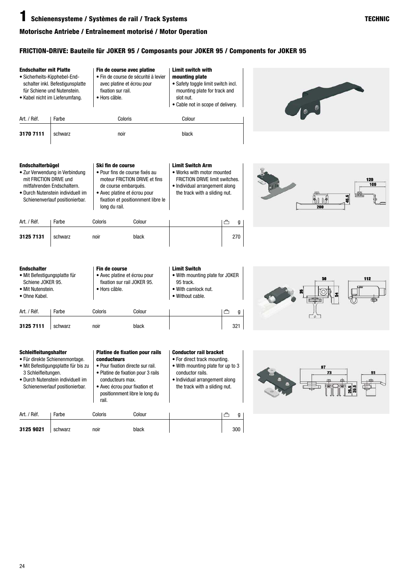# FRICTION-DRIVE: Bauteile für JOKER 95 / Composants pour JOKER 95 / Components for JOKER 95

| Art. / Réf.<br>Coloris<br>Colour<br>Farbe |
|-------------------------------------------|
|                                           |
| 3170 7111<br>noir<br>black<br>schwarz     |

#### Endschalterbügel

**Endschalter** 

• Mit Befestigungsplatte für

 mit FRICTION DRIVE und mitfahrenden Endschaltern. • Durch Nutenstein individuell im Schienenverlauf positionierbar.

| <b>Endschalterbügel</b>        | Ski fin de course   |
|--------------------------------|---------------------|
| • Zur Verwendung in Verbindung | • Pour fins de cour |

Fin de course

#### **Limit Switch A**

Conductor rail bracket

our fins de course fixés au moteur FRICTION DRIVE et fins de course embarqués. • Avec platine et écrou pour fixation et positionnment libre le long du rail.  $\bullet$  Works with mo FRICTION DRIV  $\bullet$  Individual arrai the track with

| rm                |  |
|-------------------|--|
| otor mounted      |  |
| E limit switches. |  |
| ngement along     |  |
| a sliding nut.    |  |
|                   |  |
|                   |  |

| Art. / Réf. | Farbe   | Coloris | Colour |     |  |
|-------------|---------|---------|--------|-----|--|
| 3125 7131   | schwarz | noir    | black  | 270 |  |





| o |   |
|---|---|
|   |   |
|   |   |
|   |   |
|   | N |

| Schiene JOKER 95.<br>• Mit Nutenstein.<br>• Ohne Kabel. |         | • Hors câble. | fixation sur rail JOKER 95. | 95 track.<br>• With camlock nut.<br>• Without cable. |     |
|---------------------------------------------------------|---------|---------------|-----------------------------|------------------------------------------------------|-----|
| Art. / Réf.                                             | Farbe   | Coloris       | Colour                      |                                                      | g   |
| 3125 7111                                               | schwarz | noir          | black                       |                                                      | 321 |

• Avec platine et écrou pour

#### Schleifleitungshalter

3 Schleifleitungen.

#### Platine de fixation pour rails

• Für direkte Schienenmontage. • Mit Befestigungsplatte für bis zu • Durch Nutenstein individuell im Schienenverlauf positionierbar. conducteurs • Pour fixation directe sur rail. • Platine de fixation pour 3 rails conducteurs max. • Avec écrou pour fixation et positionnment libre le long du rail. • For direct track mounting. • With mounting plate for up to 3 conductor rails. • Individual arrangement along the track with a sliding nut.

| Art. / Réf. | l Farbe | Coloris | Colour | گا |     |
|-------------|---------|---------|--------|----|-----|
| 3125 9021   | schwarz | noir    | black  |    | 300 |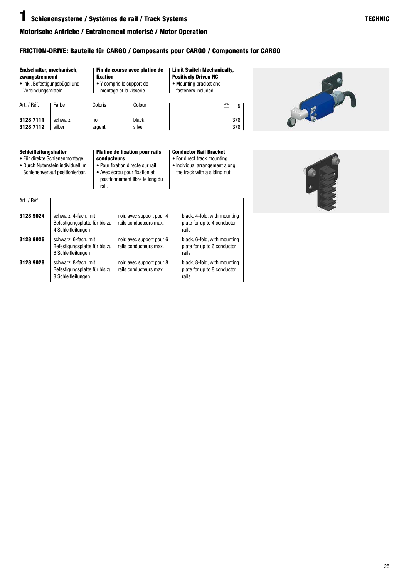# FRICTION-DRIVE: Bauteile für CARGO / Composants pour CARGO / Components for CARGO

| Endschalter, mechanisch,<br>zwangstrennend<br>· Inkl. Befestigungsbügel und<br>Verbindungsmitteln. |                                                                                                       | fixation                    | Fin de course avec platine de<br>• Y compris le support de<br>montage et la visserie.                                                          | <b>Limit Switch Mechanically,</b><br><b>Positively Driven NC</b><br>• Mounting bracket and<br>fasteners included.                |
|----------------------------------------------------------------------------------------------------|-------------------------------------------------------------------------------------------------------|-----------------------------|------------------------------------------------------------------------------------------------------------------------------------------------|----------------------------------------------------------------------------------------------------------------------------------|
| Art. / Réf.                                                                                        | Farbe                                                                                                 | Coloris                     | Colour                                                                                                                                         | උ<br>g                                                                                                                           |
| 3128 7111<br>3128 7112                                                                             | schwarz<br>silber                                                                                     | noir<br>argent              | black<br>silver                                                                                                                                | 378<br>378                                                                                                                       |
|                                                                                                    |                                                                                                       |                             |                                                                                                                                                |                                                                                                                                  |
| Schleifleitungshalter                                                                              | • Für direkte Schienenmontage<br>• Durch Nutenstein individuell im<br>Schienenverlauf positionierbar. | <b>conducteurs</b><br>rail. | <b>Platine de fixation pour rails</b><br>• Pour fixation directe sur rail.<br>• Avec écrou pour fixation et<br>positionnement libre le long du | <b>Conductor Rail Bracket</b><br>• For direct track mounting.<br>• Individual arrangement along<br>the track with a sliding nut. |
| Art. / Réf.                                                                                        |                                                                                                       |                             |                                                                                                                                                |                                                                                                                                  |
| 3128 9024                                                                                          | schwarz, 4-fach, mit<br>Befestigungsplatte für bis zu<br>4 Schleifleitungen                           |                             | noir, avec support pour 4<br>rails conducteurs max.                                                                                            | black, 4-fold, with mounting<br>plate for up to 4 conductor<br>rails                                                             |
| 3128 9026                                                                                          | schwarz, 6-fach, mit<br>Befestigungsplatte für bis zu<br>6 Schleifleitungen                           |                             | noir, avec support pour 6<br>rails conducteurs max.                                                                                            | black, 6-fold, with mounting<br>plate for up to 6 conductor<br>rails                                                             |
| 3128 9028                                                                                          | schwarz, 8-fach, mit<br>Befestigungsplatte für bis zu<br>8 Schleifleitungen                           |                             | noir, avec support pour 8<br>rails conducteurs max.                                                                                            | black, 8-fold, with mounting<br>plate for up to 8 conductor<br>rails                                                             |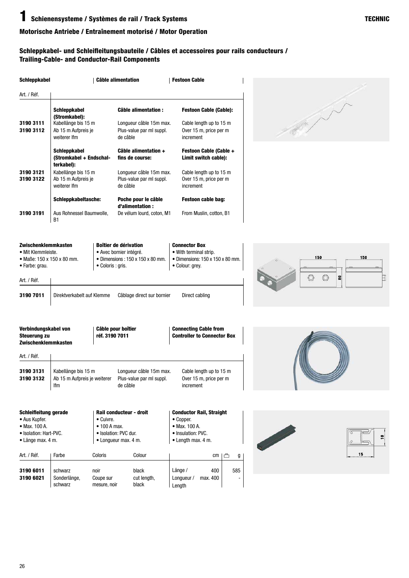### Schleppkabel- und Schleifleitungsbauteile / Câbles et accessoires pour rails conducteurs / Trailing-Cable- and Conductor-Rail Components

| <b>Schleppkabel</b>                                                                                    |                                                                                                    |                                   | Câble alimentation                                                                                  | <b>Festoon Cable</b>                                                                                              |     |          |
|--------------------------------------------------------------------------------------------------------|----------------------------------------------------------------------------------------------------|-----------------------------------|-----------------------------------------------------------------------------------------------------|-------------------------------------------------------------------------------------------------------------------|-----|----------|
| Art. / Réf.                                                                                            |                                                                                                    |                                   |                                                                                                     |                                                                                                                   |     |          |
| 3190 3111<br>3190 3112                                                                                 | <b>Schleppkabel</b><br>(Stromkabel):<br>Kabellänge bis 15 m<br>Ab 15 m Aufpreis je<br>weiterer Ifm |                                   | <b>Câble alimentation:</b><br>Longueur câble 15m max.<br>Plus-value par ml suppl.<br>de câble       | <b>Festoon Cable (Cable):</b><br>Cable length up to 15 m<br>Over 15 m, price per m<br>increment                   |     |          |
|                                                                                                        | <b>Schleppkabel</b><br>(Stromkabel + Endschal-<br>terkabel):                                       |                                   | Câble alimentation +<br>fins de course:                                                             | Festoon Cable (Cable +<br>Limit switch cable):                                                                    |     |          |
| 3190 3121<br>3190 3122                                                                                 | Kabellänge bis 15 m<br>Ab 15 m Aufpreis je<br>weiterer Ifm                                         |                                   | Longueur câble 15m max.<br>Plus-value par ml suppl.<br>de câble                                     | Cable length up to 15 m<br>Over 15 m, price per m<br>increment                                                    |     |          |
|                                                                                                        | Schleppkabeltasche:                                                                                |                                   | Poche pour le câble<br>d'alimentation :                                                             | Festoon cable bag:                                                                                                |     |          |
| 3190 3191                                                                                              | Aus Rohnessel Baumwolle,<br>B1                                                                     |                                   | De vélum lourd, coton, M1                                                                           | From Muslin, cotton, B1                                                                                           |     |          |
| <b>Zwischenklemmkasten</b><br>• Mit Klemmleiste.<br>• Maße: 150 x 150 x 80 mm.<br>• Farbe: grau.       |                                                                                                    | • Coloris : gris.                 | <b>Boîtier de dérivation</b><br>• Avec bornier intégré.<br>$\bullet$ Dimensions: 150 x 150 x 80 mm. | <b>Connector Box</b><br>• With terminal strip.<br>$\bullet$ Dimensions: 150 x 150 x 80 mm.<br>• Colour: grey.     |     |          |
| Art. / Réf.<br>3190 7011                                                                               | Direktverkabelt auf Klemme                                                                         |                                   | Câblage direct sur bornier                                                                          | Direct cabling                                                                                                    |     |          |
| Verbindungskabel von<br>Steuerung zu<br>Zwischenklemmkasten                                            |                                                                                                    | réf. 3190 7011                    | Câble pour boîtier                                                                                  | <b>Connecting Cable from</b><br><b>Controller to Connector Box</b>                                                |     |          |
| Art. / Réf.                                                                                            |                                                                                                    |                                   |                                                                                                     |                                                                                                                   |     |          |
| 3190 3131<br>3190 3132                                                                                 | Kabellänge bis 15 m<br>Ab 15 m Aufpreis je weiterer<br>lfm                                         |                                   | Lonqueur câble 15m max.<br>Plus-value par ml suppl.<br>de câble                                     | Cable length up to 15 m<br>Over 15 m, price per m<br>increment                                                    |     |          |
| Schleifleitung gerade<br>• Aus Kupfer.<br>• Max. 100 A.<br>• Isolation: Hart-PVC.<br>· Länge max. 4 m. |                                                                                                    | • Cuivre.<br>$\bullet$ 100 A max. | Rail conducteur - droit<br>· Isolation: PVC dur.<br>• Lonqueur max. 4 m.                            | <b>Conductor Rail, Straight</b><br>• Copper.<br>• Max. 100 A.<br>• Insulation: PVC.<br>$\bullet$ Length max. 4 m. |     |          |
| Art. / Réf.                                                                                            | Farbe                                                                                              | Coloris                           | Colour                                                                                              |                                                                                                                   | cm  | ٢'n<br>g |
| 3190 6011                                                                                              | schwarz                                                                                            | noir                              | black                                                                                               | Länge /                                                                                                           | 400 | 585      |









3190 6021 | Sonderlänge,

schwarz

Coupe sur mesure, noir cut length, black

 $max. 400$ 

Longueur / Length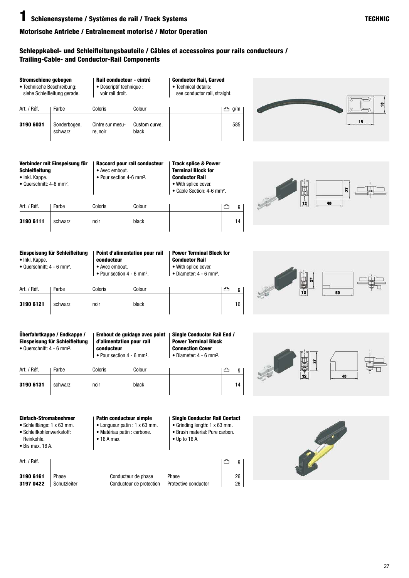### Schleppkabel- und Schleifleitungsbauteile / Câbles et accessoires pour rails conducteurs / Trailing-Cable- and Conductor-Rail Components

| Stromschiene gebogen<br>• Technische Beschreibung:                                                                                        | siehe Schleifleitung gerade.                                  | Rail conducteur - cintré<br>• Descriptif technique :<br>voir rail droit.                                       |                                                   | <b>Conductor Rail, Curved</b><br>• Technical details:<br>see conductor rail, straight.                                                                  |              |  |
|-------------------------------------------------------------------------------------------------------------------------------------------|---------------------------------------------------------------|----------------------------------------------------------------------------------------------------------------|---------------------------------------------------|---------------------------------------------------------------------------------------------------------------------------------------------------------|--------------|--|
| Art. / Réf.                                                                                                                               | Farbe                                                         | Coloris                                                                                                        | Colour                                            |                                                                                                                                                         | <b>△</b> g/m |  |
| 3190 6031                                                                                                                                 | Sonderbogen,<br>schwarz                                       | Cintre sur mesu-<br>re, noir                                                                                   | Custom curve,<br>black                            |                                                                                                                                                         | 585          |  |
| <b>Schleifleitung</b><br>$\bullet$ lnkl. Kappe.<br>• Querschnitt: 4-6 mm <sup>2</sup> .                                                   | Verbinder mit Einspeisung für                                 | • Avec embout.<br>• Pour section 4-6 mm <sup>2</sup> .                                                         | Raccord pour rail conducteur                      | <b>Track splice &amp; Power</b><br><b>Terminal Block for</b><br><b>Conductor Rail</b><br>• With splice cover.<br>• Cable Section: 4-6 mm <sup>2</sup> . |              |  |
| Art. / Réf.                                                                                                                               | Farbe                                                         | Coloris                                                                                                        | Colour                                            |                                                                                                                                                         | එ<br>g       |  |
| 3190 6111                                                                                                                                 | schwarz                                                       | noir                                                                                                           | black                                             |                                                                                                                                                         | 14           |  |
| • Inkl. Kappe.<br>$\bullet$ Querschnitt: 4 - 6 mm <sup>2</sup> .<br>Art. / Réf.<br>3190 6121                                              | <b>Einspeisung für Schleifleitung</b><br>Farbe<br>schwarz     | conducteur<br>• Avec embout.<br>• Pour section 4 - 6 mm <sup>2</sup> .<br>Coloris<br>noir                      | Point d'alimentation pour rail<br>Colour<br>black | <b>Power Terminal Block for</b><br><b>Conductor Rail</b><br>• With splice cover.<br>$\bullet$ Diameter: 4 - 6 mm <sup>2</sup> .                         | ᠿ<br>g<br>16 |  |
| $\bullet$ Querschnitt: 4 - 6 mm <sup>2</sup> .                                                                                            | Überfahrtkappe / Endkappe /<br>Einspeisung für Schleifleitung | d'alimentation pour rail<br>conducteur<br>• Pour section 4 - 6 mm <sup>2</sup> .                               | Embout de guidage avec point                      | <b>Single Conductor Rail End /</b><br><b>Power Terminal Block</b><br><b>Connection Cover</b><br>$\bullet$ Diameter: 4 - 6 mm <sup>2</sup> .             |              |  |
| Art. / Réf.                                                                                                                               | Farbe                                                         | Coloris                                                                                                        | Colour                                            |                                                                                                                                                         | එ<br>g       |  |
| 3190 6131                                                                                                                                 | schwarz                                                       | noir                                                                                                           | black                                             |                                                                                                                                                         | 14           |  |
| Einfach-Stromabnehmer<br>· Schleiflänge: 1 x 63 mm.<br>• Schleifkohlenwerkstoff:<br>Reinkohle.<br>$\bullet$ Bis max. 16 A.<br>Art. / Réf. |                                                               | Patin conducteur simple<br>• Longueur patin : 1 x 63 mm.<br>· Matériau patin : carbone.<br>$\bullet$ 16 A max. |                                                   | <b>Single Conductor Rail Contact</b><br>• Grinding length: 1 x 63 mm.<br>· Brush material: Pure carbon.<br>$\bullet$ Up to 16 A.                        | උ<br>g       |  |
| 3190 6161<br>3197 0422                                                                                                                    | Phase<br>Schutzleiter                                         |                                                                                                                | Conducteur de phase<br>Conducteur de protection   | Phase<br>Protective conductor                                                                                                                           | 26<br>26     |  |









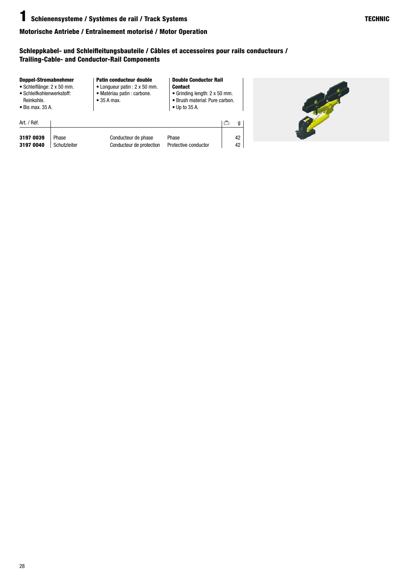### Schleppkabel- und Schleifleitungsbauteile / Câbles et accessoires pour rails conducteurs / Trailing-Cable- and Conductor-Rail Components

| Doppel-Stromabnehmer<br>• Schleiflänge: 2 x 50 mm.<br>• Schleifkohlenwerkstoff:<br>Reinkohle.<br>$\bullet$ Bis max, 35 A. |              | Patin conducteur double<br>• Longueur patin : $2 \times 50$ mm.<br>• Matériau patin : carbone.<br>$\bullet$ 35 A max. | <b>Double Conductor Rail</b><br><b>Contact</b><br>• Grinding length: $2 \times 50$ mm.<br>• Brush material: Pure carbon.<br>$\bullet$ Up to 35 A. |   |    |  |
|---------------------------------------------------------------------------------------------------------------------------|--------------|-----------------------------------------------------------------------------------------------------------------------|---------------------------------------------------------------------------------------------------------------------------------------------------|---|----|--|
| Art. / Réf.                                                                                                               |              |                                                                                                                       |                                                                                                                                                   | ථ | g  |  |
| 3197 0039                                                                                                                 | Phase        | Conducteur de phase                                                                                                   | Phase                                                                                                                                             |   | 42 |  |
| 3197 0040                                                                                                                 | Schutzleiter | Conducteur de protection                                                                                              | Protective conductor                                                                                                                              |   | 42 |  |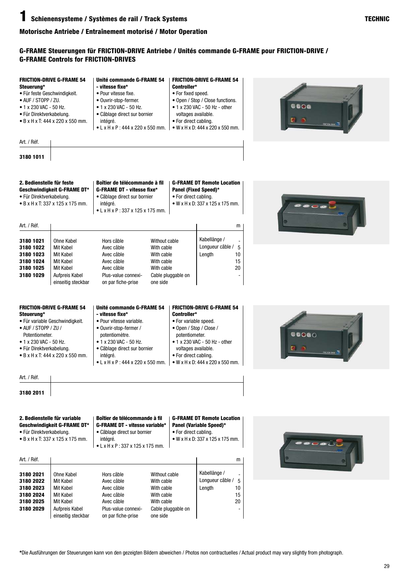#### G-FRAME Steuerungen für FRICTION-DRIVE Antriebe / Unités commande G-FRAME pour FRICTION-DRIVE / G-FRAME Controls for FRICTION-DRIVES

| Steuerung*<br>• Für feste Geschwindigkeit.<br>• AUF / STOPP / ZU.<br>• 1 x 230 VAC - 50 Hz.<br>• Für Direktverkabelung. | <b>FRICTION-DRIVE G-FRAME 54</b><br>$\bullet$ B x H x T: 444 x 220 x 550 mm.                                  | Unité commande G-FRAME 54<br>- vitesse fixe*<br>• Pour vitesse fixe.<br>• Ouvrir-stop-fermer.<br>• 1 x 230 VAC - 50 Hz.<br>• Câblage direct sur bornier<br>intégré.<br>$\bullet$ L x H x P : 444 x 220 x 550 mm.                        | Controller*<br>• For fixed speed.<br>voltages available.<br>• For direct cabling.                                                 | <b>FRICTION-DRIVE G-FRAME 54</b><br>• Open / Stop / Close functions.<br>• 1 x 230 VAC - 50 Hz - other<br>• W x H x D: 444 x 220 x 550 mm. | 0000                         |  |
|-------------------------------------------------------------------------------------------------------------------------|---------------------------------------------------------------------------------------------------------------|-----------------------------------------------------------------------------------------------------------------------------------------------------------------------------------------------------------------------------------------|-----------------------------------------------------------------------------------------------------------------------------------|-------------------------------------------------------------------------------------------------------------------------------------------|------------------------------|--|
| Art. / Réf.                                                                                                             |                                                                                                               |                                                                                                                                                                                                                                         |                                                                                                                                   |                                                                                                                                           |                              |  |
| 3180 1011                                                                                                               |                                                                                                               |                                                                                                                                                                                                                                         |                                                                                                                                   |                                                                                                                                           |                              |  |
| 2. Bedienstelle für feste<br>· Für Direktverkabelung.                                                                   | Geschwindigkeit G-FRAME DT*<br>• B x H x T: 337 x 125 x 175 mm.                                               | Boîtier de télécommande à fil<br><b>G-FRAME DT - vitesse fixe*</b><br>• Câblage direct sur bornier<br>intégré.<br>$\bullet$ L x H x P : 337 x 125 x 175 mm.                                                                             | • For direct cabling.                                                                                                             | <b>G-FRAME DT Remote Location</b><br>Panel (Fixed Speed)*<br>• W x H x D: 337 x 125 x 175 mm.                                             | <b>PO 0</b>                  |  |
| Art. / Réf.                                                                                                             |                                                                                                               |                                                                                                                                                                                                                                         |                                                                                                                                   | m                                                                                                                                         |                              |  |
| 3180 1021<br>3180 1022                                                                                                  | Ohne Kabel<br><b>Mit Kabel</b>                                                                                | Hors câble<br>Without cable<br>Avec câble<br>With cable                                                                                                                                                                                 |                                                                                                                                   | Kabellänge /<br>Longueur câble /<br>5                                                                                                     |                              |  |
| 3180 1023<br>3180 1024<br>3180 1025<br>3180 1029                                                                        | <b>Mit Kabel</b><br><b>Mit Kabel</b><br><b>Mit Kabel</b><br>Aufpreis Kabel<br>einseitig steckbar              | Avec câble<br>With cable<br>Avec câble<br>With cable<br>Avec câble<br>With cable<br>Plus-value connexi-<br>on par fiche-prise<br>one side                                                                                               | Cable pluggable on                                                                                                                | Length<br>10<br>15<br>20                                                                                                                  |                              |  |
| Steuerung*<br>• AUF / STOPP / ZU /<br>Potentiometer.<br>• 1 x 230 VAC - 50 Hz.<br>• Für Direktverkabelung.              | <b>FRICTION-DRIVE G-FRAME 54</b><br>• Für variable Geschwindigkeit.<br>• B x H x T: 444 x 220 x 550 mm.       | Unité commande G-FRAME 54<br>- vitesse fixe*<br>• Pour vitesse variable.<br>· Ouvrir-stop-fermer /<br>potentiomètre.<br>• 1 x 230 VAC - 50 Hz.<br>• Câblage direct sur bornier<br>intégré.<br>$\bullet$ L x H x P : 444 x 220 x 550 mm. | Controller*<br>• For variable speed.<br>• Open / Stop / Close /<br>potentiometer.<br>voltages available.<br>• For direct cabling. | <b>FRICTION-DRIVE G-FRAME 54</b><br>• 1 x 230 VAC - 50 Hz - other<br>• W x H x D: 444 x 220 x 550 mm.                                     | $\bullet\bullet\bullet\circ$ |  |
| Art. / Réf.                                                                                                             |                                                                                                               |                                                                                                                                                                                                                                         |                                                                                                                                   |                                                                                                                                           |                              |  |
| 3180 2011                                                                                                               |                                                                                                               |                                                                                                                                                                                                                                         |                                                                                                                                   |                                                                                                                                           |                              |  |
| 2. Bedienstelle für variable<br>· Für Direktverkabelung.                                                                | Geschwindigkeit G-FRAME DT*<br>$\bullet$ B x H x T: 337 x 125 x 175 mm.                                       | Boîtier de télécommande à fil<br>G-FRAME DT - vitesse variable*<br>• Câblage direct sur bornier<br>intégré.<br>$\bullet$ L x H x P : 337 x 125 x 175 mm.                                                                                | • For direct cabling.                                                                                                             | <b>G-FRAME DT Remote Location</b><br><b>Panel (Variable Speed)*</b><br>• W x H x D: 337 x 125 x 175 mm.                                   |                              |  |
| Art. / Réf.                                                                                                             |                                                                                                               |                                                                                                                                                                                                                                         |                                                                                                                                   | m                                                                                                                                         |                              |  |
| 3180 2021<br>3180 2022<br>3180 2023<br>3180 2024<br>3180 2025<br>3180 2029                                              | Ohne Kabel<br>Mit Kabel<br><b>Mit Kabel</b><br>Mit Kabel<br>Mit Kabel<br>Aufpreis Kabel<br>einseitig steckbar | Hors câble<br>Without cable<br>Avec câble<br>With cable<br>Avec câble<br>With cable<br>Avec câble<br>With cable<br>Avec câble<br>With cable<br>Plus-value connexi-<br>on par fiche-prise<br>one side                                    | Cable pluggable on                                                                                                                | Kabellänge /<br>Longueur câble / 5<br>Length<br>10<br>15<br>20                                                                            |                              |  |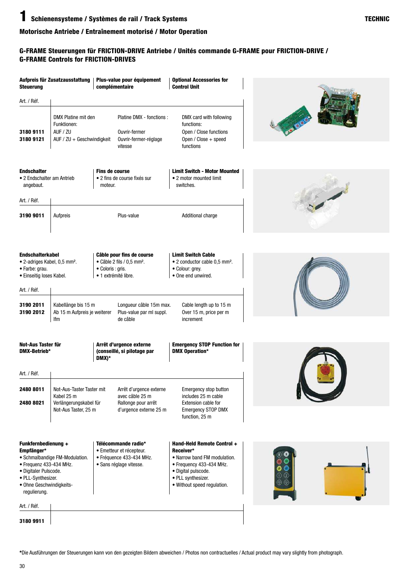#### G-FRAME Steuerungen für FRICTION-DRIVE Antriebe / Unités commande G-FRAME pour FRICTION-DRIVE / G-FRAME Controls for FRICTION-DRIVES

| Steuerung                                                                                                                                                              | Aufpreis für Zusatzausstattung                                                            | complémentaire                            | Plus-value pour équipement                                                                             | <b>Optional Accessories for</b><br><b>Control Unit</b>                                                                                                                          |
|------------------------------------------------------------------------------------------------------------------------------------------------------------------------|-------------------------------------------------------------------------------------------|-------------------------------------------|--------------------------------------------------------------------------------------------------------|---------------------------------------------------------------------------------------------------------------------------------------------------------------------------------|
| Art. / Réf.                                                                                                                                                            |                                                                                           |                                           |                                                                                                        |                                                                                                                                                                                 |
| 3180 9111<br>3180 9121                                                                                                                                                 | DMX Platine mit den<br>Funktionen:<br>AUF / ZU<br>AUF / ZU + Geschwindigkeit              |                                           | Platine DMX - fonctions :<br>Ouvrir-fermer<br>Ouvrir-fermer-réglage<br>vitesse                         | DMX card with following<br>functions:<br>Open / Close functions<br>Open / Close + speed<br>functions                                                                            |
| <b>Endschalter</b><br>• 2 Endschalter am Antrieb<br>angebaut.                                                                                                          |                                                                                           | <b>Fins de course</b><br>moteur.          | • 2 fins de course fixés sur                                                                           | <b>Limit Switch - Motor Mounted</b><br>• 2 motor mounted limit<br>switches.                                                                                                     |
| Art. / Réf.<br>3190 9011                                                                                                                                               | Aufpreis                                                                                  |                                           | Plus-value                                                                                             | Additional charge                                                                                                                                                               |
| <b>Endschalterkabel</b><br>• 2-adriges Kabel, 0,5 mm <sup>2</sup> .<br>• Farbe: grau.<br>• Einseitig loses Kabel.<br>Art. / Réf.                                       |                                                                                           | • Coloris : gris.<br>• 1 extrémité libre. | Câble pour fins de course<br>$\bullet$ Câble 2 fils / 0,5 mm <sup>2</sup> .                            | <b>Limit Switch Cable</b><br>• 2 conductor cable 0.5 mm <sup>2</sup> .<br>• Colour: grey.<br>• One end unwired.                                                                 |
| 3190 2011<br>3190 2012                                                                                                                                                 | Kabellänge bis 15 m<br>Ab 15 m Aufpreis je weiterer<br>lfm                                |                                           | Longueur câble 15m max.<br>Plus-value par ml suppl.<br>de câble                                        | Cable length up to 15 m<br>Over 15 m, price per m<br>increment                                                                                                                  |
| Not-Aus Taster für<br>DMX-Betrieb*                                                                                                                                     |                                                                                           | DMX)*                                     | Arrêt d'urgence externe<br>(conseillé, si pilotage par                                                 | <b>Emergency STOP Function for</b><br><b>DMX Operation*</b>                                                                                                                     |
| Art. / Réf.<br>2480 8011<br>2480 8021                                                                                                                                  | Not-Aus-Taster Taster mit<br>Kabel 25 m<br>Verlängerungskabel für<br>Not-Aus Taster, 25 m |                                           | Arrêt d'urgence externe<br>avec câble 25 m<br>Rallonge pour arrêt<br>d'urgence externe 25 m            | Emergency stop button<br>includes 25 m cable<br>Extension cable for<br><b>Emergency STOP DMX</b><br>function, 25 m                                                              |
| Funkfernbedienung +<br>Empfänger*<br>• Frequenz 433-434 MHz.<br>· Digitaler Pulscode.<br>• PLL-Synthesizer.<br>• Ohne Geschwindigkeits-<br>regulierung.<br>Art. / Réf. | • Schmalbandige FM-Modulation.                                                            |                                           | Télécommande radio*<br>· Emetteur et récepteur.<br>· Fréquence 433-434 MHz.<br>· Sans réglage vitesse. | Hand-Held Remote Control +<br>Receiver*<br>• Narrow band FM modulation.<br>• Frequency 433-434 MHz.<br>• Digital pulscode.<br>• PLL synthesizer.<br>• Without speed regulation. |
| 3180 9911                                                                                                                                                              |                                                                                           |                                           |                                                                                                        |                                                                                                                                                                                 |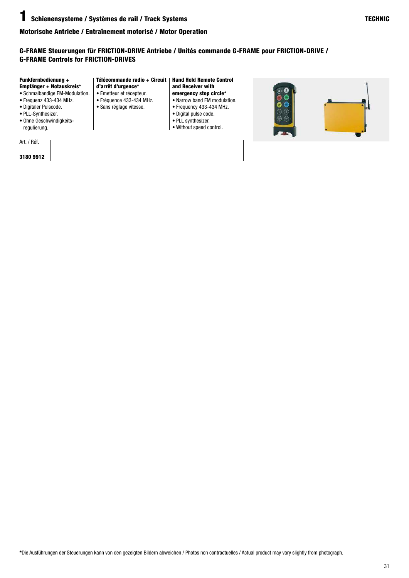• Fréquence 433-434 MHz. • Sans réglage vitesse.

#### G-FRAME Steuerungen für FRICTION-DRIVE Antriebe / Unités commande G-FRAME pour FRICTION-DRIVE / G-FRAME Controls for FRICTION-DRIVES

# Funkfernbedienung +

#### Empfänger + Notauskreis\* • Schmalbandige FM-Modulation.

- Frequenz 433-434 MHz.
- Digitaler Pulscode.
- PLL-Synthesizer.
- Ohne Geschwindigkeits regulierung.

#### Télécommande radio + Circuit Hand Held Remote Control d'arrêt d'urgence\* • Emetteur et récepteur. and Receiver with

- emergency stop circle\* • Narrow band FM modulation.
	- Frequency 433-434 MHz.
	- Digital pulse code.
	- PLL synthesizer.
	- Without speed control.



Art. / Réf.

3180 9912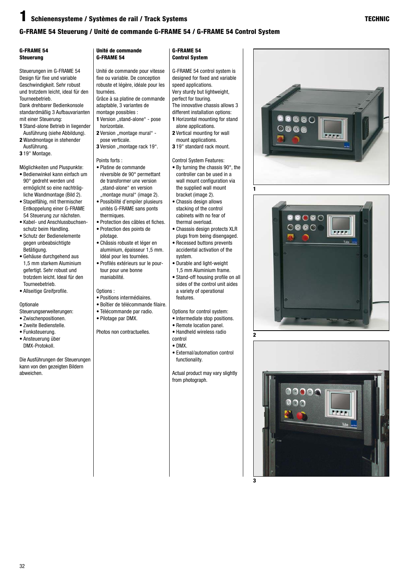## G-FRAME 54 Steuerung / Unité de commande G-FRAME 54 / G-FRAME 54 Control System

G-FRAME 54 Control System

speed applications. Very sturdy but lightweight, perfect for touring.

G-FRAME 54 control system is designed for fixed and variable

#### G-FRAME 54 Steuerung

Steuerungen im G-FRAME 54 Design für fixe und variable Geschwindigkeit. Sehr robust und trotzdem leicht, ideal für den Tourneebetrieb. Dank drehbarer Bedienkonsole standardmäßig 3 Aufbauvarianten mit einer Steuerung:

- 1 Stand-alone Betrieb in liegender Ausführung (siehe Abbildung).
- 2 Wandmontage in stehender Ausführung.
- 3 19" Montage.

### Möglichkeiten und Pluspunkte:

- Bedienwinkel kann einfach um 90° gedreht werden und ermöglicht so eine nachträg liche Wandmontage (Bild 2).
- Stapelfähig, mit thermischer Entkoppelung einer G-FRAME 54 Steuerung zur nächsten.
- Kabel- und Anschlussbuchsen schutz beim Handling.
- Schutz der Bedienelemente gegen unbeabsichtigte Betätigung.
- Gehäuse durchgehend aus 1,5 mm starkem Aluminium gefertigt. Sehr robust und trotzdem leicht. Ideal für den **Tourneebetrieb.**
- Allseitige Greifprofile.

#### **Optionale**

- Steuerungserweiterungen:
- Zwischenpositionen.
- Zweite Bedienstelle.
- Funksteuerung.
- Ansteuerung über DMX-Protokoll.

Die Ausführungen der Steuerungen kann von den gezeigten Bildern abweichen.

#### Unité de commande G-FRAME 54

Unité de commande pour vitesse fixe ou variable. De conception robuste et légère, idéale pour les tournées. Grâce à sa platine de commande

- adaptable, 3 variantes de montage possibles :
- 1 Version "stand-alone" pose horizontale. 2 Version "montage mural" -
- pose verticale. 3 Version "montage rack 19".
- Points forts :
- Platine de commande réversible de 90° permettant de transformer une version "stand-alone" en version ..montage mural" (image 2).
- Possibilité d'empiler plusieurs unités G-FRAME sans ponts thermiques.
- Protection des câbles et fiches. • Protection des points de pilotage.
- Châssis robuste et léger en aluminium, épaisseur 1,5 mm. Idéal pour les tournées.
- Profilés extérieurs sur le pour tour pour une bonne maniabilité.

#### Options :

- Positions intermédiaires.
- Boîtier de télécommande filaire.
- Télécommande par radio.
- Pilotage par DMX.

Photos non contractuelles.

- - DMX.
	- External/automation control functionality.

1 The innovative chassis allows 3 different installation options: 1 Horizontal mounting for stand alone applications. 2 Vertical mounting for wall mount applications. 3 19" standard rack mount. Control System Features: • By turning the chassis 90°, the controller can be used in a wall mount configuration via the supplied wall mount

- bracket (image 2). • Chassis design allows stacking of the control cabinets with no fear of thermal overload.
- Chasssis design protects XLR plugs from being disengaged.
- Recessed buttons prevents accidental activation of the system.
- Durable and light-weight 1,5 mm Aluminium frame.
- Stand-off housing profile on all sides of the control unit aides a variety of operational features.

# Options for control system:

- Intermediate stop positions.
- Remote location panel.
- Handheld wireless radio
- control
- 

Actual product may vary slightly from photograph.





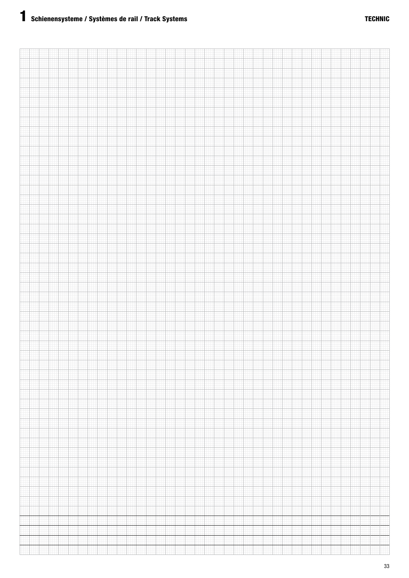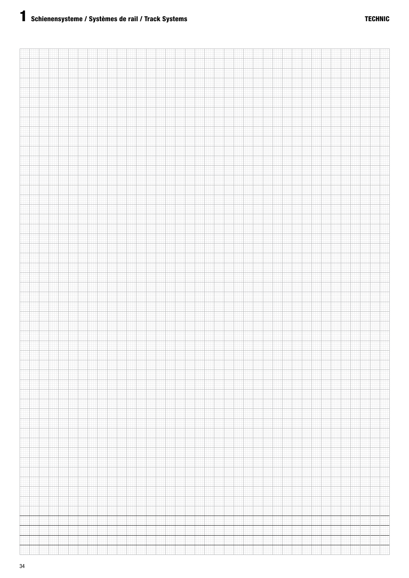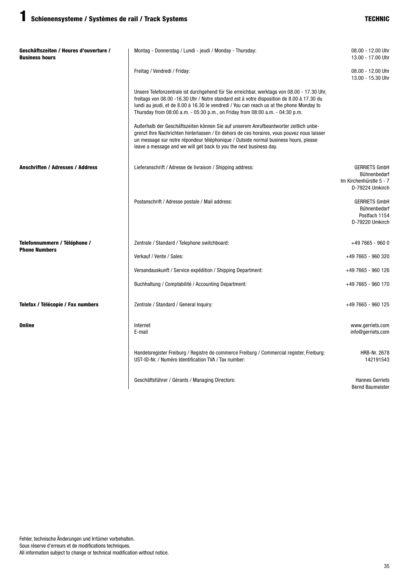| Geschäftszeiten / Heures d'ouverture /<br><b>Business hours</b> | Montag - Donnerstag / Lundi - jeudi / Monday - Thursday:                                                                                                                                                                                                                                                                                                             | 08.00 - 12.00 Uhr<br>13.00 - 17.00 Uhr                                             |
|-----------------------------------------------------------------|----------------------------------------------------------------------------------------------------------------------------------------------------------------------------------------------------------------------------------------------------------------------------------------------------------------------------------------------------------------------|------------------------------------------------------------------------------------|
|                                                                 | Freitag / Vendredi / Friday:                                                                                                                                                                                                                                                                                                                                         | 08.00 - 12.00 Uhr<br>13.00 - 15.30 Uhr                                             |
|                                                                 | Unsere Telefonzentrale ist durchgehend für Sie erreichbar, werktags von 08.00 - 17.30 Uhr,<br>freitags von 08.00 -16.30 Uhr / Notre standard est à votre disposition de 8.00 à 17.30 du<br>lundi au jeudi, et de 8.00 à 16.30 le vendredi / You can reach us at the phone Monday to<br>Thursday from 08:00 a.m. - 05:30 p.m., on Friday from 08:00 a.m. - 04:30 p.m. |                                                                                    |
|                                                                 | Außerhalb der Geschäftszeiten können Sie auf unserem Anrufbeantworter zeitlich unbe-<br>grenzt Ihre Nachrichten hinterlassen / En dehors de ces horaires, vous pouvez nous laisser<br>un message sur notre répondeur téléphonique / Outside normal business hours, please<br>leave a message and we will get back to you the next business day.                      |                                                                                    |
| <b>Anschriften / Adresses / Address</b>                         | Lieferanschrift / Adresse de livraison / Shipping address:                                                                                                                                                                                                                                                                                                           | <b>GERRIETS GmbH</b><br>Bühnenbedarf<br>Im Kirchenhürstle 5 - 7<br>D-79224 Umkirch |
|                                                                 | Postanschrift / Adresse postale / Mail address:                                                                                                                                                                                                                                                                                                                      | <b>GERRIETS GmbH</b><br>Bühnenbedarf<br>Postfach 1154<br>D-79220 Umkirch           |
| Telefonnummern / Téléphone /<br><b>Phone Numbers</b>            | Zentrale / Standard / Telephone switchboard:                                                                                                                                                                                                                                                                                                                         | $+497665 - 9600$                                                                   |
|                                                                 | Verkauf / Vente / Sales:                                                                                                                                                                                                                                                                                                                                             | +49 7665 - 960 320                                                                 |
|                                                                 | Versandauskunft / Service expédition / Shipping Department:                                                                                                                                                                                                                                                                                                          | +49 7665 - 960 126                                                                 |
|                                                                 | Buchhaltung / Comptabilité / Accounting Department:                                                                                                                                                                                                                                                                                                                  | +49 7665 - 960 170                                                                 |
| Telefax / Télécopie / Fax numbers                               | Zentrale / Standard / General Inquiry:                                                                                                                                                                                                                                                                                                                               | +49 7665 - 960 125                                                                 |
| <b>Online</b>                                                   | Internet<br>E-mail                                                                                                                                                                                                                                                                                                                                                   | www.gerriets.com<br>info@gerriets.com                                              |
|                                                                 | Handelsregister Freiburg / Registre de commerce Freiburg / Commercial register, Freiburg:<br>UST-ID-Nr. / Numéro Identification TVA / Tax number:                                                                                                                                                                                                                    | <b>HRB-Nr. 2678</b><br>142191543                                                   |
|                                                                 | Geschäftsführer / Gérants / Managing Directors:                                                                                                                                                                                                                                                                                                                      | <b>Hannes Gerriets</b><br><b>Bernd Baumeister</b>                                  |